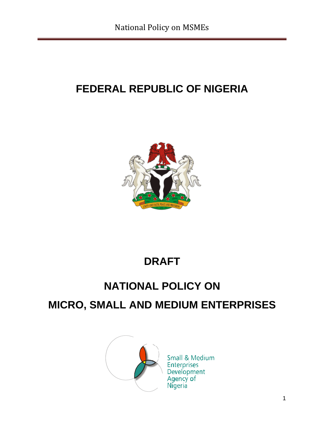# **FEDERAL REPUBLIC OF NIGERIA**



# **DRAFT**

# **NATIONAL POLICY ON**

# <span id="page-0-0"></span>**MICRO, SMALL AND MEDIUM ENTERPRISES**



Small & Medium **Enterprises** Development Agency of<br>Nigeria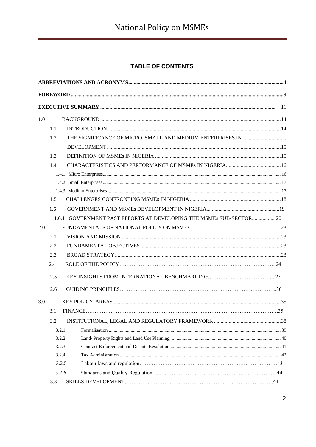## TABLE OF CONTENTS

| 1.0 |     |                                                                     |  |
|-----|-----|---------------------------------------------------------------------|--|
|     | 1.1 |                                                                     |  |
|     | 1.2 |                                                                     |  |
|     |     |                                                                     |  |
|     | 1.3 |                                                                     |  |
|     | 1.4 |                                                                     |  |
|     |     |                                                                     |  |
|     |     |                                                                     |  |
|     |     |                                                                     |  |
|     | 1.5 |                                                                     |  |
|     | 1.6 |                                                                     |  |
|     |     | 1.6.1 GOVERNMENT PAST EFFORTS AT DEVELOPING THE MSMEs SUB-SECTOR 20 |  |
| 2.0 |     |                                                                     |  |
|     | 2.1 |                                                                     |  |
|     | 2.2 |                                                                     |  |
|     | 2.3 |                                                                     |  |
|     | 2.4 |                                                                     |  |
|     | 2.5 |                                                                     |  |
|     | 2.6 |                                                                     |  |
| 3.0 |     |                                                                     |  |
|     | 3.1 |                                                                     |  |
|     | 3.2 |                                                                     |  |
|     |     | 3.2.1                                                               |  |
|     |     | 3.2.2                                                               |  |
|     |     | 3.2.3                                                               |  |
|     |     | 3.2.4                                                               |  |
|     |     | 3.2.5                                                               |  |
|     |     | 3.2.6                                                               |  |
|     | 3.3 |                                                                     |  |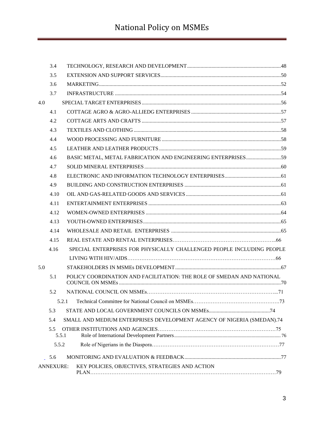|     | 3.4              |                                                                        |  |
|-----|------------------|------------------------------------------------------------------------|--|
|     | 3.5              |                                                                        |  |
|     | 3.6              |                                                                        |  |
|     | 3.7              |                                                                        |  |
| 4.0 |                  |                                                                        |  |
|     | 4.1              |                                                                        |  |
|     | 4.2              |                                                                        |  |
|     | 4.3              |                                                                        |  |
|     | 4.4              |                                                                        |  |
|     | 4.5              |                                                                        |  |
|     | 4.6              | BASIC METAL, METAL FABRICATION AND ENGINEERING ENTERPRISES59           |  |
|     | 4.7              |                                                                        |  |
|     | 4.8              |                                                                        |  |
|     | 4.9              |                                                                        |  |
|     | 4.10             |                                                                        |  |
|     | 4.11             |                                                                        |  |
|     | 4.12             |                                                                        |  |
|     | 4.13             |                                                                        |  |
|     | 4.14             |                                                                        |  |
|     | 4.15             |                                                                        |  |
|     | 4.16             | SPECIAL ENTERPRISES FOR PHYSICALLY CHALLENGED PEOPLE INCLUDING PEOPLE  |  |
|     |                  |                                                                        |  |
| 5.0 |                  |                                                                        |  |
|     | 5.1              | POLICY COORDINATION AND FACILITATION: THE ROLE OF SMEDAN AND NATIONAL  |  |
|     | 5.2              |                                                                        |  |
|     |                  |                                                                        |  |
|     | 5.3              |                                                                        |  |
|     | 5.4              | SMALL AND MEDIUM ENTERPRISES DEVELOPMENT AGENCY OF NIGERIA (SMEDAN).74 |  |
|     | 5.5              | 5.5.1                                                                  |  |
|     | 5.5.2            |                                                                        |  |
|     | 5.6              |                                                                        |  |
|     | <b>ANNEXURE:</b> | KEY POLICIES, OBJECTIVES, STRATEGIES AND ACTION                        |  |
|     |                  |                                                                        |  |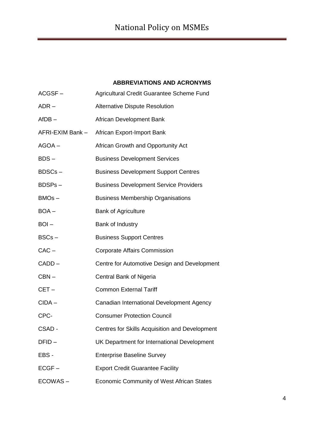#### **ABBREVIATIONS AND ACRONYMS**

| $ACGSF -$        | Agricultural Credit Guarantee Scheme Fund      |
|------------------|------------------------------------------------|
| $ADR -$          | <b>Alternative Dispute Resolution</b>          |
| $AfDB -$         | African Development Bank                       |
| AFRI-EXIM Bank - | African Export-Import Bank                     |
| $AGOA -$         | African Growth and Opportunity Act             |
| $BDS -$          | <b>Business Development Services</b>           |
| BDSCs-           | <b>Business Development Support Centres</b>    |
| BDSPs-           | <b>Business Development Service Providers</b>  |
| $BMOs -$         | <b>Business Membership Organisations</b>       |
| $BOA -$          | <b>Bank of Agriculture</b>                     |
| $BOL -$          | Bank of Industry                               |
| $BSCs -$         | <b>Business Support Centres</b>                |
| $CAC -$          | <b>Corporate Affairs Commission</b>            |
| CADD-            | Centre for Automotive Design and Development   |
| $CBN -$          | Central Bank of Nigeria                        |
| $CET -$          | <b>Common External Tariff</b>                  |
| $CIDA -$         | Canadian International Development Agency      |
| CPC-             | <b>Consumer Protection Council</b>             |
| CSAD -           | Centres for Skills Acquisition and Development |
| DFID-            | UK Department for International Development    |
| EBS -            | <b>Enterprise Baseline Survey</b>              |
| $ECGF -$         | <b>Export Credit Guarantee Facility</b>        |
| ECOWAS-          | Economic Community of West African States      |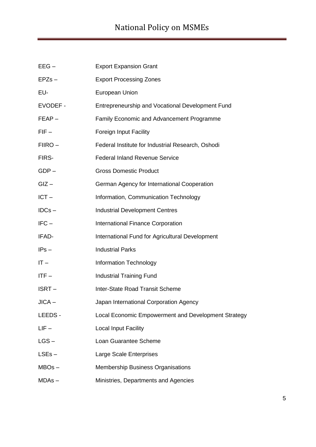| $EEG -$         | <b>Export Expansion Grant</b>                       |
|-----------------|-----------------------------------------------------|
| $EPZs -$        | <b>Export Processing Zones</b>                      |
| EU-             | European Union                                      |
| <b>EVODEF -</b> | Entrepreneurship and Vocational Development Fund    |
| FEAP-           | Family Economic and Advancement Programme           |
| $FIF -$         | <b>Foreign Input Facility</b>                       |
| FIIRO-          | Federal Institute for Industrial Research, Oshodi   |
| FIRS-           | <b>Federal Inland Revenue Service</b>               |
| $GDP -$         | <b>Gross Domestic Product</b>                       |
| $GIZ -$         | German Agency for International Cooperation         |
| $ICT -$         | Information, Communication Technology               |
| $IDCs -$        | <b>Industrial Development Centres</b>               |
| $IFC -$         | <b>International Finance Corporation</b>            |
| IFAD-           | International Fund for Agricultural Development     |
| $IPS -$         | <b>Industrial Parks</b>                             |
| $IT -$          | Information Technology                              |
| $ITF -$         | <b>Industrial Training Fund</b>                     |
| ISRT-           | Inter-State Road Transit Scheme                     |
| JICA -          | Japan International Corporation Agency              |
| LEEDS -         | Local Economic Empowerment and Development Strategy |
| $LIF -$         | <b>Local Input Facility</b>                         |
| $LS -$          | Loan Guarantee Scheme                               |
| $LSEs -$        | <b>Large Scale Enterprises</b>                      |
| $MBOs -$        | <b>Membership Business Organisations</b>            |
| $MDAs -$        | Ministries, Departments and Agencies                |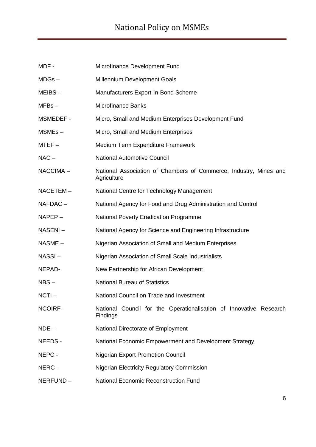| MDF -           | Microfinance Development Fund                                                    |
|-----------------|----------------------------------------------------------------------------------|
| $MDGs -$        | Millennium Development Goals                                                     |
| MEIBS-          | Manufacturers Export-In-Bond Scheme                                              |
| $MFBs -$        | <b>Microfinance Banks</b>                                                        |
| MSMEDEF -       | Micro, Small and Medium Enterprises Development Fund                             |
| MSMEs-          | Micro, Small and Medium Enterprises                                              |
| $MTEF -$        | Medium Term Expenditure Framework                                                |
| $NAC -$         | <b>National Automotive Council</b>                                               |
| NACCIMA-        | National Association of Chambers of Commerce, Industry, Mines and<br>Agriculture |
| NACETEM-        | National Centre for Technology Management                                        |
| NAFDAC-         | National Agency for Food and Drug Administration and Control                     |
| $NAPEP -$       | <b>National Poverty Eradication Programme</b>                                    |
| NASENI-         | National Agency for Science and Engineering Infrastructure                       |
| NASME -         | Nigerian Association of Small and Medium Enterprises                             |
| NASSI-          | Nigerian Association of Small Scale Industrialists                               |
| NEPAD-          | New Partnership for African Development                                          |
| $NBS -$         | <b>National Bureau of Statistics</b>                                             |
| $NCTI -$        | National Council on Trade and Investment                                         |
| <b>NCOIRF -</b> | National Council for the Operationalisation of Innovative Research<br>Findings   |
| $NDE -$         | National Directorate of Employment                                               |
| NEEDS -         | National Economic Empowerment and Development Strategy                           |
| NEPC -          | <b>Nigerian Export Promotion Council</b>                                         |
| NERC -          | <b>Nigerian Electricity Regulatory Commission</b>                                |
| NERFUND-        | National Economic Reconstruction Fund                                            |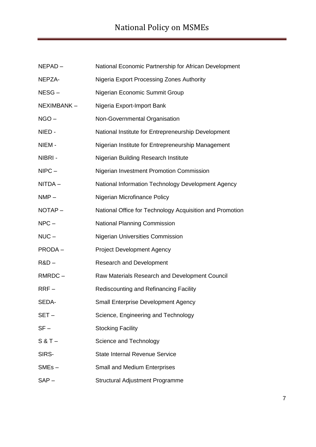| $NEPAD -$     | National Economic Partnership for African Development    |
|---------------|----------------------------------------------------------|
| NEPZA-        | <b>Nigeria Export Processing Zones Authority</b>         |
| NESG-         | Nigerian Economic Summit Group                           |
| NEXIMBANK-    | Nigeria Export-Import Bank                               |
| $NGO -$       | Non-Governmental Organisation                            |
| NIED-         | National Institute for Entrepreneurship Development      |
| NIEM-         | Nigerian Institute for Entrepreneurship Management       |
| NIBRI -       | Nigerian Building Research Institute                     |
| $NIPC -$      | Nigerian Investment Promotion Commission                 |
| NITDA-        | National Information Technology Development Agency       |
| $NMP -$       | Nigerian Microfinance Policy                             |
| NOTAP-        | National Office for Technology Acquisition and Promotion |
| $NPC -$       | <b>National Planning Commission</b>                      |
| $NUC -$       | <b>Nigerian Universities Commission</b>                  |
| <b>PRODA-</b> | <b>Project Development Agency</b>                        |
| $R&D-$        | <b>Research and Development</b>                          |
| RMRDC-        | Raw Materials Research and Development Council           |
| $RRF-$        | Rediscounting and Refinancing Facility                   |
| SEDA-         | <b>Small Enterprise Development Agency</b>               |
| $SET -$       | Science, Engineering and Technology                      |
| $SF -$        | <b>Stocking Facility</b>                                 |
| $S & T -$     | Science and Technology                                   |
| SIRS-         | <b>State Internal Revenue Service</b>                    |
| $SMEs -$      | <b>Small and Medium Enterprises</b>                      |
| $SAP -$       | <b>Structural Adjustment Programme</b>                   |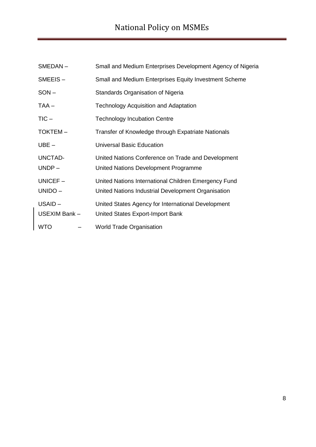| SMEDAN-                 | Small and Medium Enterprises Development Agency of Nigeria                                                 |
|-------------------------|------------------------------------------------------------------------------------------------------------|
| $SMEEIS -$              | Small and Medium Enterprises Equity Investment Scheme                                                      |
| $SON -$                 | Standards Organisation of Nigeria                                                                          |
| $TAA -$                 | <b>Technology Acquisition and Adaptation</b>                                                               |
| $TIC -$                 | <b>Technology Incubation Centre</b>                                                                        |
| <b>TOKTEM-</b>          | Transfer of Knowledge through Expatriate Nationals                                                         |
| $UBE -$                 | <b>Universal Basic Education</b>                                                                           |
| UNCTAD-<br>$UNDP -$     | United Nations Conference on Trade and Development<br>United Nations Development Programme                 |
| $UNICEF -$<br>UNIDO-    | United Nations International Children Emergency Fund<br>United Nations Industrial Development Organisation |
| USAID-<br>USEXIM Bank - | United States Agency for International Development<br>United States Export-Import Bank                     |
| WTO                     | <b>World Trade Organisation</b>                                                                            |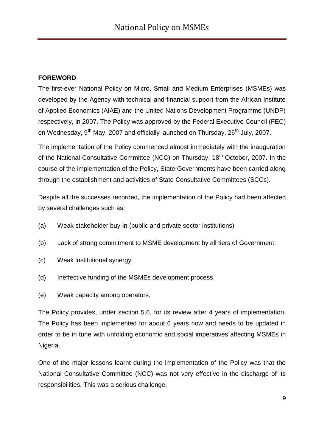#### **FOREWORD**

The first-ever National Policy on Micro, Small and Medium Enterprises (MSMEs) was developed by the Agency with technical and financial support from the African Institute of Applied Economics (AIAE) and the United Nations Development Programme (UNDP) respectively, in 2007. The Policy was approved by the Federal Executive Council (FEC) on Wednesday, 9<sup>th</sup> May, 2007 and officially launched on Thursday, 26<sup>th</sup> July, 2007.

The implementation of the Policy commenced almost immediately with the inauguration of the National Consultative Committee (NCC) on Thursday, 18<sup>th</sup> October, 2007. In the course of the implementation of the Policy, State Governments have been carried along through the establishment and activities of State Consultative Committees (SCCs).

Despite all the successes recorded, the implementation of the Policy had been affected by several challenges such as:

- (a) Weak stakeholder buy-in (public and private sector institutions)
- (b) Lack of strong commitment to MSME development by all tiers of Government.
- (c) Weak institutional synergy.
- (d) Ineffective funding of the MSMEs development process.
- (e) Weak capacity among operators.

The Policy provides, under section 5.6, for its review after 4 years of implementation. The Policy has been implemented for about 6 years now and needs to be updated in order to be in tune with unfolding economic and social imperatives affecting MSMEs in Nigeria.

One of the major lessons learnt during the implementation of the Policy was that the National Consultative Committee (NCC) was not very effective in the discharge of its responsibilities. This was a serious challenge.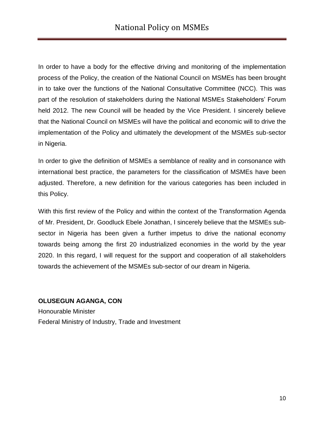In order to have a body for the effective driving and monitoring of the implementation process of the Policy, the creation of the National Council on MSMEs has been brought in to take over the functions of the National Consultative Committee (NCC). This was part of the resolution of stakeholders during the National MSMEs Stakeholders" Forum held 2012. The new Council will be headed by the Vice President. I sincerely believe that the National Council on MSMEs will have the political and economic will to drive the implementation of the Policy and ultimately the development of the MSMEs sub-sector in Nigeria.

In order to give the definition of MSMEs a semblance of reality and in consonance with international best practice, the parameters for the classification of MSMEs have been adjusted. Therefore, a new definition for the various categories has been included in this Policy.

With this first review of the Policy and within the context of the Transformation Agenda of Mr. President, Dr. Goodluck Ebele Jonathan, I sincerely believe that the MSMEs subsector in Nigeria has been given a further impetus to drive the national economy towards being among the first 20 industrialized economies in the world by the year 2020. In this regard, I will request for the support and cooperation of all stakeholders towards the achievement of the MSMEs sub-sector of our dream in Nigeria.

#### **OLUSEGUN AGANGA, CON**

<span id="page-9-0"></span>Honourable Minister Federal Ministry of Industry, Trade and Investment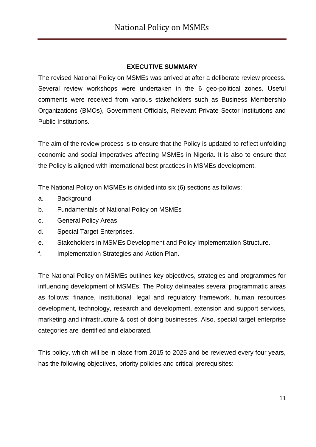#### **EXECUTIVE SUMMARY**

The revised National Policy on MSMEs was arrived at after a deliberate review process. Several review workshops were undertaken in the 6 geo-political zones. Useful comments were received from various stakeholders such as Business Membership Organizations (BMOs), Government Officials, Relevant Private Sector Institutions and Public Institutions.

The aim of the review process is to ensure that the Policy is updated to reflect unfolding economic and social imperatives affecting MSMEs in Nigeria. It is also to ensure that the Policy is aligned with international best practices in MSMEs development.

The National Policy on MSMEs is divided into six (6) sections as follows:

- a. Background
- b. Fundamentals of National Policy on MSMEs
- c. General Policy Areas
- d. Special Target Enterprises.
- e. Stakeholders in MSMEs Development and Policy Implementation Structure.
- f. Implementation Strategies and Action Plan.

The National Policy on MSMEs outlines key objectives, strategies and programmes for influencing development of MSMEs. The Policy delineates several programmatic areas as follows: finance, institutional, legal and regulatory framework, human resources development, technology, research and development, extension and support services, marketing and infrastructure & cost of doing businesses. Also, special target enterprise categories are identified and elaborated.

This policy, which will be in place from 2015 to 2025 and be reviewed every four years, has the following objectives, priority policies and critical prerequisites: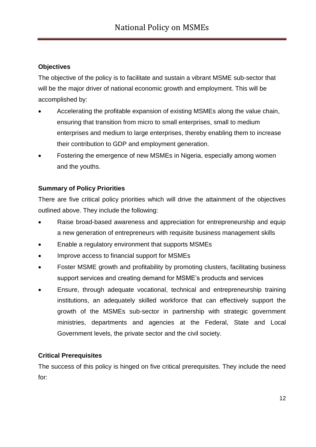### **Objectives**

The objective of the policy is to facilitate and sustain a vibrant MSME sub-sector that will be the major driver of national economic growth and employment. This will be accomplished by:

- Accelerating the profitable expansion of existing MSMEs along the value chain, ensuring that transition from micro to small enterprises, small to medium enterprises and medium to large enterprises, thereby enabling them to increase their contribution to GDP and employment generation.
- Fostering the emergence of new MSMEs in Nigeria, especially among women and the youths.

## **Summary of Policy Priorities**

There are five critical policy priorities which will drive the attainment of the objectives outlined above. They include the following:

- Raise broad-based awareness and appreciation for entrepreneurship and equip a new generation of entrepreneurs with requisite business management skills
- Enable a regulatory environment that supports MSMEs
- Improve access to financial support for MSMEs
- Foster MSME growth and profitability by promoting clusters, facilitating business support services and creating demand for MSME"s products and services
- Ensure, through adequate vocational, technical and entrepreneurship training institutions, an adequately skilled workforce that can effectively support the growth of the MSMEs sub-sector in partnership with strategic government ministries, departments and agencies at the Federal, State and Local Government levels, the private sector and the civil society.

#### **Critical Prerequisites**

The success of this policy is hinged on five critical prerequisites. They include the need for: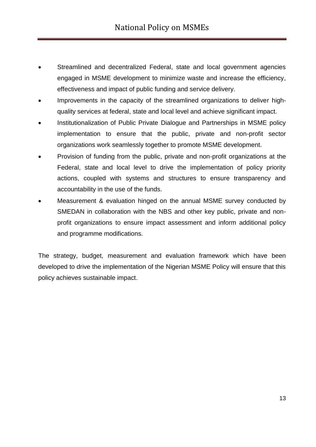- Streamlined and decentralized Federal, state and local government agencies engaged in MSME development to minimize waste and increase the efficiency, effectiveness and impact of public funding and service delivery.
- Improvements in the capacity of the streamlined organizations to deliver highquality services at federal, state and local level and achieve significant impact.
- Institutionalization of Public Private Dialogue and Partnerships in MSME policy implementation to ensure that the public, private and non-profit sector organizations work seamlessly together to promote MSME development.
- Provision of funding from the public, private and non-profit organizations at the Federal, state and local level to drive the implementation of policy priority actions, coupled with systems and structures to ensure transparency and accountability in the use of the funds.
- Measurement & evaluation hinged on the annual MSME survey conducted by SMEDAN in collaboration with the NBS and other key public, private and nonprofit organizations to ensure impact assessment and inform additional policy and programme modifications.

<span id="page-12-0"></span>The strategy, budget, measurement and evaluation framework which have been developed to drive the implementation of the Nigerian MSME Policy will ensure that this policy achieves sustainable impact.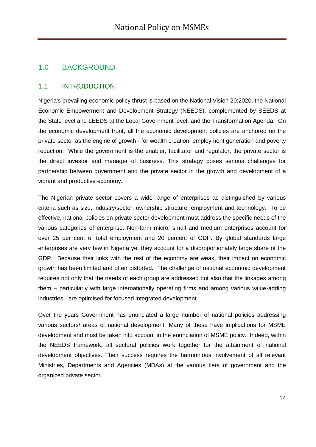## 1.0 BACKGROUND

#### <span id="page-13-0"></span>1.1 INTRODUCTION

Nigeria's prevailing economic policy thrust is based on the National Vision 20:2020, the National Economic Empowerment and Development Strategy (NEEDS), complemented by SEEDS at the State level and LEEDS at the Local Government level, and the Transformation Agenda. On the economic development front, all the economic development policies are anchored on the private sector as the engine of growth - for wealth creation, employment generation and poverty reduction. While the government is the enabler, facilitator and regulator, the private sector is the direct investor and manager of business. This strategy poses serious challenges for partnership between government and the private sector in the growth and development of a vibrant and productive economy.

The Nigerian private sector covers a wide range of enterprises as distinguished by various criteria such as size, industry/sector, ownership structure, employment and technology. To be effective, national policies on private sector development must address the specific needs of the various categories of enterprise. Non-farm micro, small and medium enterprises account for over 25 per cent of total employment and 20 percent of GDP. By global standards large enterprises are very few in Nigeria yet they account for a disproportionately large share of the GDP. Because their links with the rest of the economy are weak, their impact on economic growth has been limited and often distorted. The challenge of national economic development requires not only that the needs of each group are addressed but also that the linkages among them – particularly with large internationally operating firms and among various value-adding industries - are optimised for focused integrated development

Over the years Government has enunciated a large number of national policies addressing various sectors/ areas of national development. Many of these have implications for MSME development and must be taken into account in the enunciation of MSME policy. Indeed, within the NEEDS framework, all sectoral policies work together for the attainment of national development objectives. Their success requires the harmonious involvement of all relevant Ministries, Departments and Agencies (MDAs) at the various tiers of government and the organized private sector.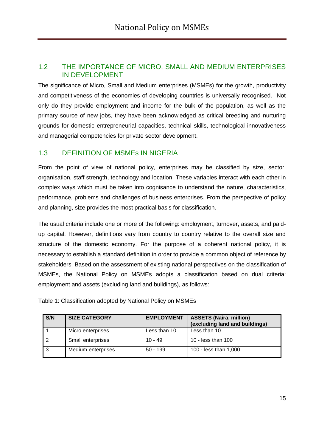## <span id="page-14-0"></span>1.2 THE IMPORTANCE OF MICRO, SMALL AND MEDIUM ENTERPRISES IN DEVELOPMENT

The significance of Micro, Small and Medium enterprises (MSMEs) for the growth, productivity and competitiveness of the economies of developing countries is universally recognised. Not only do they provide employment and income for the bulk of the population, as well as the primary source of new jobs, they have been acknowledged as critical breeding and nurturing grounds for domestic entrepreneurial capacities, technical skills, technological innovativeness and managerial competencies for private sector development.

## <span id="page-14-1"></span>1.3 DEFINITION OF MSMEs IN NIGERIA

From the point of view of national policy, enterprises may be classified by size, sector, organisation, staff strength, technology and location. These variables interact with each other in complex ways which must be taken into cognisance to understand the nature, characteristics, performance, problems and challenges of business enterprises. From the perspective of policy and planning, size provides the most practical basis for classification.

The usual criteria include one or more of the following: employment, turnover, assets, and paidup capital. However, definitions vary from country to country relative to the overall size and structure of the domestic economy. For the purpose of a coherent national policy, it is necessary to establish a standard definition in order to provide a common object of reference by stakeholders. Based on the assessment of existing national perspectives on the classification of MSMEs, the National Policy on MSMEs adopts a classification based on dual criteria: employment and assets (excluding land and buildings), as follows:

| S/N | <b>SIZE CATEGORY</b> | <b>EMPLOYMENT</b> | <b>ASSETS (Naira, million)</b><br>(excluding land and buildings) |
|-----|----------------------|-------------------|------------------------------------------------------------------|
|     | Micro enterprises    | Less than 10      | Less than 10                                                     |
|     | Small enterprises    | $10 - 49$         | 10 - less than 100                                               |
|     | Medium enterprises   | $50 - 199$        | 100 - less than 1,000                                            |

Table 1: Classification adopted by National Policy on MSMEs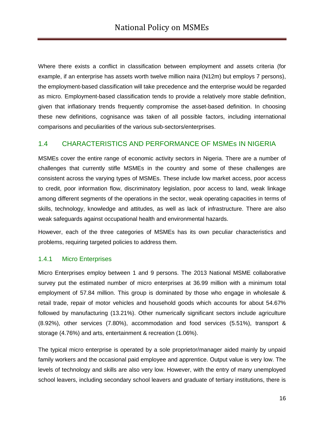Where there exists a conflict in classification between employment and assets criteria (for example, if an enterprise has assets worth twelve million naira (N12m) but employs 7 persons), the employment-based classification will take precedence and the enterprise would be regarded as micro. Employment-based classification tends to provide a relatively more stable definition, given that inflationary trends frequently compromise the asset-based definition. In choosing these new definitions, cognisance was taken of all possible factors, including international comparisons and peculiarities of the various sub-sectors/enterprises.

#### <span id="page-15-0"></span>1.4 CHARACTERISTICS AND PERFORMANCE OF MSMEs IN NIGERIA

MSMEs cover the entire range of economic activity sectors in Nigeria. There are a number of challenges that currently stifle MSMEs in the country and some of these challenges are consistent across the varying types of MSMEs. These include low market access, poor access to credit, poor information flow, discriminatory legislation, poor access to land, weak linkage among different segments of the operations in the sector, weak operating capacities in terms of skills, technology, knowledge and attitudes, as well as lack of infrastructure. There are also weak safeguards against occupational health and environmental hazards.

However, each of the three categories of MSMEs has its own peculiar characteristics and problems, requiring targeted policies to address them.

#### <span id="page-15-1"></span>1.4.1 Micro Enterprises

Micro Enterprises employ between 1 and 9 persons. The 2013 National MSME collaborative survey put the estimated number of micro enterprises at 36.99 million with a minimum total employment of 57.84 million. This group is dominated by those who engage in wholesale & retail trade, repair of motor vehicles and household goods which accounts for about 54.67% followed by manufacturing (13.21%). Other numerically significant sectors include agriculture (8.92%), other services (7.80%), accommodation and food services (5.51%), transport & storage (4.76%) and arts, entertainment & recreation (1.06%).

The typical micro enterprise is operated by a sole proprietor/manager aided mainly by unpaid family workers and the occasional paid employee and apprentice. Output value is very low. The levels of technology and skills are also very low. However, with the entry of many unemployed school leavers, including secondary school leavers and graduate of tertiary institutions, there is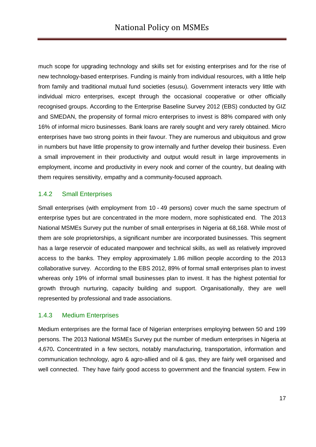much scope for upgrading technology and skills set for existing enterprises and for the rise of new technology-based enterprises. Funding is mainly from individual resources, with a little help from family and traditional mutual fund societies (esusu). Government interacts very little with individual micro enterprises, except through the occasional cooperative or other officially recognised groups. According to the Enterprise Baseline Survey 2012 (EBS) conducted by GIZ and SMEDAN, the propensity of formal micro enterprises to invest is 88% compared with only 16% of informal micro businesses. Bank loans are rarely sought and very rarely obtained. Micro enterprises have two strong points in their favour. They are numerous and ubiquitous and grow in numbers but have little propensity to grow internally and further develop their business. Even a small improvement in their productivity and output would result in large improvements in employment, income and productivity in every nook and corner of the country, but dealing with them requires sensitivity, empathy and a community-focused approach.

#### <span id="page-16-0"></span>1.4.2 Small Enterprises

Small enterprises (with employment from 10 - 49 persons) cover much the same spectrum of enterprise types but are concentrated in the more modern, more sophisticated end. The 2013 National MSMEs Survey put the number of small enterprises in Nigeria at 68,168. While most of them are sole proprietorships, a significant number are incorporated businesses. This segment has a large reservoir of educated manpower and technical skills, as well as relatively improved access to the banks. They employ approximately 1.86 million people according to the 2013 collaborative survey. According to the EBS 2012, 89% of formal small enterprises plan to invest whereas only 19% of informal small businesses plan to invest. It has the highest potential for growth through nurturing, capacity building and support. Organisationally, they are well represented by professional and trade associations.

#### <span id="page-16-1"></span>1.4.3 Medium Enterprises

Medium enterprises are the formal face of Nigerian enterprises employing between 50 and 199 persons. The 2013 National MSMEs Survey put the number of medium enterprises in Nigeria at 4,670**.** Concentrated in a few sectors, notably manufacturing, transportation, information and communication technology, agro & agro-allied and oil & gas, they are fairly well organised and well connected. They have fairly good access to government and the financial system. Few in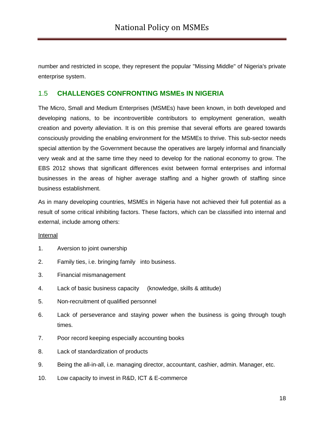number and restricted in scope, they represent the popular "Missing Middle" of Nigeria's private enterprise system.

#### 1.5 **CHALLENGES CONFRONTING MSMEs IN NIGERIA**

The Micro, Small and Medium Enterprises (MSMEs) have been known, in both developed and developing nations, to be incontrovertible contributors to employment generation, wealth creation and poverty alleviation. It is on this premise that several efforts are geared towards consciously providing the enabling environment for the MSMEs to thrive. This sub-sector needs special attention by the Government because the operatives are largely informal and financially very weak and at the same time they need to develop for the national economy to grow. The EBS 2012 shows that significant differences exist between formal enterprises and informal businesses in the areas of higher average staffing and a higher growth of staffing since business establishment.

As in many developing countries, MSMEs in Nigeria have not achieved their full potential as a result of some critical inhibiting factors. These factors, which can be classified into internal and external, include among others:

#### Internal

- 1. Aversion to joint ownership
- 2. Family ties, i.e. bringing family into business.
- 3. Financial mismanagement
- 4. Lack of basic business capacity (knowledge, skills & attitude)
- 5. Non-recruitment of qualified personnel
- 6. Lack of perseverance and staying power when the business is going through tough times.
- 7. Poor record keeping especially accounting books
- 8. Lack of standardization of products
- 9. Being the all-in-all, i.e. managing director, accountant, cashier, admin. Manager, etc.
- 10. Low capacity to invest in R&D, ICT & E-commerce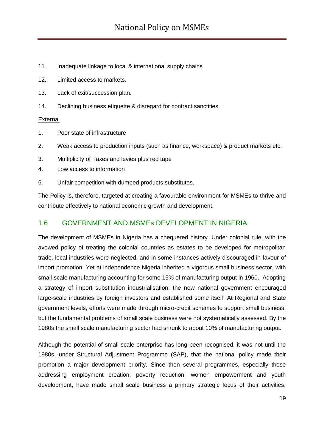- 11. Inadequate linkage to local & international supply chains
- 12. Limited access to markets.
- 13. Lack of exit/succession plan.
- 14. Declining business etiquette & disregard for contract sanctities.

#### External

- 1. Poor state of infrastructure
- 2. Weak access to production inputs (such as finance, workspace) & product markets etc.
- 3. Multiplicity of Taxes and levies plus red tape
- 4. Low access to information
- 5. Unfair competition with dumped products substitutes.

The Policy is, therefore, targeted at creating a favourable environment for MSMEs to thrive and contribute effectively to national economic growth and development.

#### <span id="page-18-0"></span>1.6 GOVERNMENT AND MSMEs DEVELOPMENT IN NIGERIA

The development of MSMEs in Nigeria has a chequered history. Under colonial rule, with the avowed policy of treating the colonial countries as estates to be developed for metropolitan trade, local industries were neglected, and in some instances actively discouraged in favour of import promotion. Yet at independence Nigeria inherited a vigorous small business sector, with small-scale manufacturing accounting for some 15% of manufacturing output in 1960. Adopting a strategy of import substitution industrialisation, the new national government encouraged large-scale industries by foreign investors and established some itself. At Regional and State government levels, efforts were made through micro-credit schemes to support small business, but the fundamental problems of small scale business were not systematically assessed. By the 1980s the small scale manufacturing sector had shrunk to about 10% of manufacturing output.

Although the potential of small scale enterprise has long been recognised, it was not until the 1980s, under Structural Adjustment Programme (SAP), that the national policy made their promotion a major development priority. Since then several programmes, especially those addressing employment creation, poverty reduction, women empowerment and youth development, have made small scale business a primary strategic focus of their activities.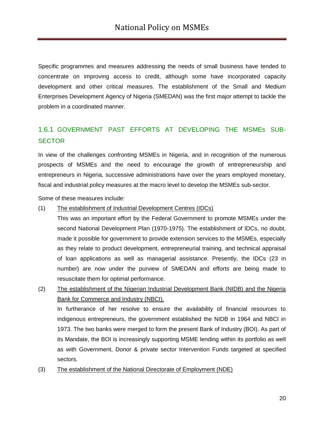Specific programmes and measures addressing the needs of small business have tended to concentrate on improving access to credit, although some have incorporated capacity development and other critical measures. The establishment of the Small and Medium Enterprises Development Agency of Nigeria (SMEDAN) was the first major attempt to tackle the problem in a coordinated manner.

## 1.6.1 GOVERNMENT PAST EFFORTS AT DEVELOPING THE MSMEs SUB-**SECTOR**

In view of the challenges confronting MSMEs in Nigeria, and in recognition of the numerous prospects of MSMEs and the need to encourage the growth of entrepreneurship and entrepreneurs in Nigeria, successive administrations have over the years employed monetary, fiscal and industrial policy measures at the macro level to develop the MSMEs sub-sector.

Some of these measures include:

#### (1) The establishment of Industrial Development Centres (IDCs)

This was an important effort by the Federal Government to promote MSMEs under the second National Development Plan (1970-1975). The establishment of IDCs, no doubt, made it possible for government to provide extension services to the MSMEs, especially as they relate to product development, entrepreneurial training, and technical appraisal of loan applications as well as managerial assistance. Presently, the IDCs (23 in number) are now under the purview of SMEDAN and efforts are being made to resuscitate them for optimal performance.

(2) The establishment of the Nigerian Industrial Development Bank (NIDB) and the Nigeria Bank for Commerce and Industry (NBCI).

In furtherance of her resolve to ensure the availability of financial resources to indigenous entrepreneurs, the government established the NIDB in 1964 and NBCI in 1973. The two banks were merged to form the present Bank of Industry (BOI). As part of its Mandate, the BOI is increasingly supporting MSME lending within its portfolio as well as with Government, Donor & private sector Intervention Funds targeted at specified sectors.

(3) The establishment of the National Directorate of Employment (NDE)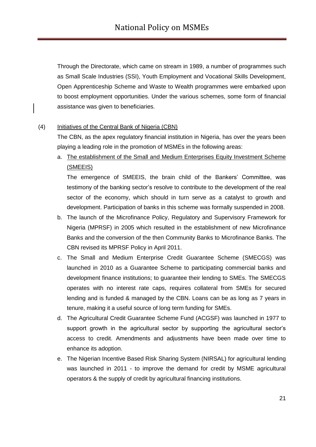Through the Directorate, which came on stream in 1989, a number of programmes such as Small Scale Industries (SSI), Youth Employment and Vocational Skills Development, Open Apprenticeship Scheme and Waste to Wealth programmes were embarked upon to boost employment opportunities. Under the various schemes, some form of financial assistance was given to beneficiaries.

#### (4) Initiatives of the Central Bank of Nigeria (CBN)

The CBN, as the apex regulatory financial institution in Nigeria, has over the years been playing a leading role in the promotion of MSMEs in the following areas:

a. The establishment of the Small and Medium Enterprises Equity Investment Scheme (SMEEIS)

The emergence of SMEEIS, the brain child of the Bankers' Committee, was testimony of the banking sector"s resolve to contribute to the development of the real sector of the economy, which should in turn serve as a catalyst to growth and development. Participation of banks in this scheme was formally suspended in 2008.

- b. The launch of the Microfinance Policy, Regulatory and Supervisory Framework for Nigeria (MPRSF) in 2005 which resulted in the establishment of new Microfinance Banks and the conversion of the then Community Banks to Microfinance Banks. The CBN revised its MPRSF Policy in April 2011.
- c. The Small and Medium Enterprise Credit Guarantee Scheme (SMECGS) was launched in 2010 as a Guarantee Scheme to participating commercial banks and development finance institutions; to guarantee their lending to SMEs. The SMECGS operates with no interest rate caps, requires collateral from SMEs for secured lending and is funded & managed by the CBN. Loans can be as long as 7 years in tenure, making it a useful source of long term funding for SMEs.
- d. The Agricultural Credit Guarantee Scheme Fund (ACGSF) was launched in 1977 to support growth in the agricultural sector by supporting the agricultural sector's access to credit. Amendments and adjustments have been made over time to enhance its adoption.
- e. The Nigerian Incentive Based Risk Sharing System (NIRSAL) for agricultural lending was launched in 2011 - to improve the demand for credit by MSME agricultural operators & the supply of credit by agricultural financing institutions.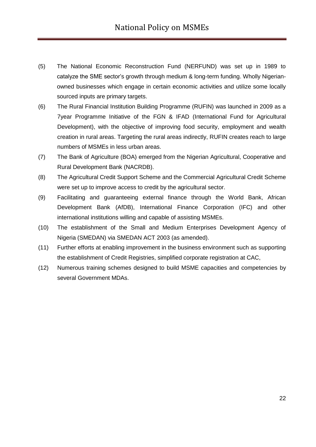- (5) The National Economic Reconstruction Fund (NERFUND) was set up in 1989 to catalyze the SME sector's growth through medium & long-term funding. Wholly Nigerianowned businesses which engage in certain economic activities and utilize some locally sourced inputs are primary targets.
- (6) The Rural Financial Institution Building Programme (RUFIN) was launched in 2009 as a 7year Programme Initiative of the FGN & IFAD (International Fund for Agricultural Development), with the objective of improving food security, employment and wealth creation in rural areas. Targeting the rural areas indirectly, RUFIN creates reach to large numbers of MSMEs in less urban areas.
- (7) The Bank of Agriculture (BOA) emerged from the Nigerian Agricultural, Cooperative and Rural Development Bank (NACRDB).
- (8) The Agricultural Credit Support Scheme and the Commercial Agricultural Credit Scheme were set up to improve access to credit by the agricultural sector.
- (9) Facilitating and guaranteeing external finance through the World Bank, African Development Bank (AfDB), International Finance Corporation (IFC) and other international institutions willing and capable of assisting MSMEs.
- (10) The establishment of the Small and Medium Enterprises Development Agency of Nigeria (SMEDAN) via SMEDAN ACT 2003 (as amended).
- (11) Further efforts at enabling improvement in the business environment such as supporting the establishment of Credit Registries, simplified corporate registration at CAC,
- <span id="page-21-0"></span>(12) Numerous training schemes designed to build MSME capacities and competencies by several Government MDAs.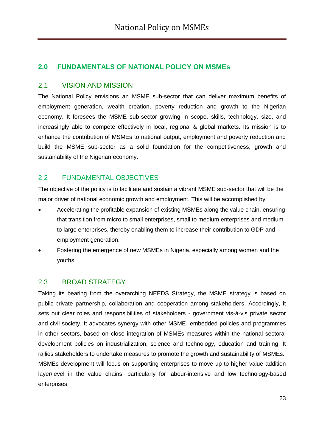## **2.0 FUNDAMENTALS OF NATIONAL POLICY ON MSMEs**

#### <span id="page-22-0"></span>2.1 VISION AND MISSION

The National Policy envisions an MSME sub-sector that can deliver maximum benefits of employment generation, wealth creation, poverty reduction and growth to the Nigerian economy. It foresees the MSME sub-sector growing in scope, skills, technology, size, and increasingly able to compete effectively in local, regional & global markets. Its mission is to enhance the contribution of MSMEs to national output, employment and poverty reduction and build the MSME sub-sector as a solid foundation for the competitiveness, growth and sustainability of the Nigerian economy.

## <span id="page-22-1"></span>2.2 FUNDAMENTAL OBJECTIVES

The objective of the policy is to facilitate and sustain a vibrant MSME sub-sector that will be the major driver of national economic growth and employment. This will be accomplished by:

- Accelerating the profitable expansion of existing MSMEs along the value chain, ensuring that transition from micro to small enterprises, small to medium enterprises and medium to large enterprises, thereby enabling them to increase their contribution to GDP and employment generation.
- Fostering the emergence of new MSMEs in Nigeria, especially among women and the youths.

## <span id="page-22-2"></span>2.3 BROAD STRATEGY

Taking its bearing from the overarching NEEDS Strategy, the MSME strategy is based on public-private partnership, collaboration and cooperation among stakeholders. Accordingly, it sets out clear roles and responsibilities of stakeholders - government vis-à-vis private sector and civil society. It advocates synergy with other MSME- embedded policies and programmes in other sectors, based on close integration of MSMEs measures within the national sectoral development policies on industrialization, science and technology, education and training. It rallies stakeholders to undertake measures to promote the growth and sustainability of MSMEs. MSMEs development will focus on supporting enterprises to move up to higher value addition layer/level in the value chains, particularly for labour-intensive and low technology-based enterprises.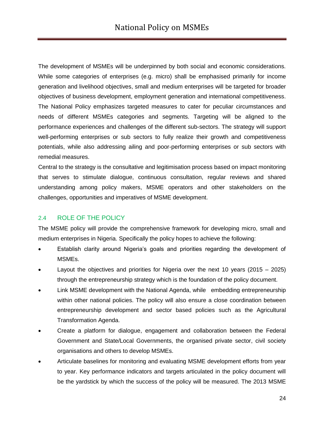The development of MSMEs will be underpinned by both social and economic considerations. While some categories of enterprises (e.g. micro) shall be emphasised primarily for income generation and livelihood objectives, small and medium enterprises will be targeted for broader objectives of business development, employment generation and international competitiveness. The National Policy emphasizes targeted measures to cater for peculiar circumstances and needs of different MSMEs categories and segments. Targeting will be aligned to the performance experiences and challenges of the different sub-sectors. The strategy will support well-performing enterprises or sub sectors to fully realize their growth and competitiveness potentials, while also addressing ailing and poor-performing enterprises or sub sectors with remedial measures.

Central to the strategy is the consultative and legitimisation process based on impact monitoring that serves to stimulate dialogue, continuous consultation, regular reviews and shared understanding among policy makers, MSME operators and other stakeholders on the challenges, opportunities and imperatives of MSME development.

#### 2.4 ROLE OF THE POLICY

The MSME policy will provide the comprehensive framework for developing micro, small and medium enterprises in Nigeria. Specifically the policy hopes to achieve the following:

- Establish clarity around Nigeria"s goals and priorities regarding the development of MSMEs.
- Layout the objectives and priorities for Nigeria over the next 10 years (2015 2025) through the entrepreneurship strategy which is the foundation of the policy document.
- Link MSME development with the National Agenda, while embedding entrepreneurship within other national policies. The policy will also ensure a close coordination between entrepreneurship development and sector based policies such as the Agricultural Transformation Agenda.
- Create a platform for dialogue, engagement and collaboration between the Federal Government and State/Local Governments, the organised private sector, civil society organisations and others to develop MSMEs.
- Articulate baselines for monitoring and evaluating MSME development efforts from year to year. Key performance indicators and targets articulated in the policy document will be the yardstick by which the success of the policy will be measured. The 2013 MSME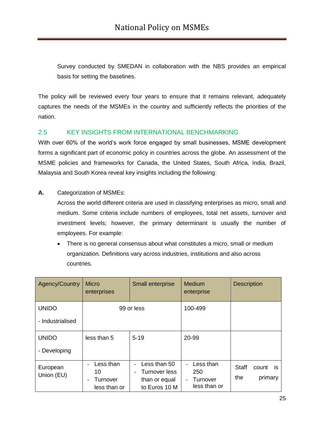Survey conducted by SMEDAN in collaboration with the NBS provides an empirical basis for setting the baselines.

The policy will be reviewed every four years to ensure that it remains relevant, adequately captures the needs of the MSMEs in the country and sufficiently reflects the priorities of the nation.

#### 2.5 KEY INSIGHTS FROM INTERNATIONAL BENCHMARKING

With over 60% of the world's work force engaged by small businesses. MSME development forms a significant part of economic policy in countries across the globe. An assessment of the MSME policies and frameworks for Canada, the United States, South Africa, India, Brazil, Malaysia and South Korea reveal key insights including the following:

#### **A.** Categorization of MSMEs:

Across the world different criteria are used in classifying enterprises as micro, small and medium. Some criteria include numbers of employees, total net assets, turnover and investment levels; however, the primary determinant is usually the number of employees. For example:

• There is no general consensus about what constitutes a micro, small or medium organization. Definitions vary across industries, institutions and also across countries.

| Agency/Country         | <b>Micro</b><br>enterprises                 | Small enterprise                                                                                                            | Medium<br>enterprise                         | <b>Description</b>                                   |
|------------------------|---------------------------------------------|-----------------------------------------------------------------------------------------------------------------------------|----------------------------------------------|------------------------------------------------------|
| <b>UNIDO</b>           |                                             | 99 or less                                                                                                                  | 100-499                                      |                                                      |
| - Industrialised       |                                             |                                                                                                                             |                                              |                                                      |
| <b>UNIDO</b>           | less than 5                                 | $5 - 19$                                                                                                                    | 20-99                                        |                                                      |
| - Developing           |                                             |                                                                                                                             |                                              |                                                      |
| European<br>Union (EU) | Less than<br>10<br>Turnover<br>less than or | Less than 50<br>$\overline{\phantom{0}}$<br>Turnover less<br>$\qquad \qquad \blacksquare$<br>than or equal<br>to Euros 10 M | Less than<br>250<br>Turnover<br>less than or | <b>Staff</b><br>count<br><b>is</b><br>the<br>primary |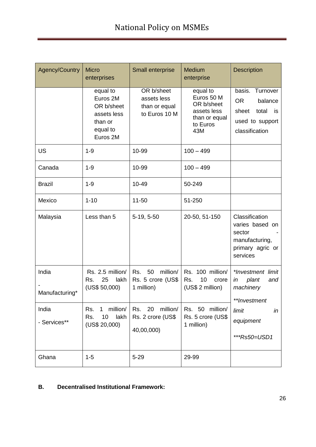| <b>Agency/Country</b>   | <b>Micro</b><br>enterprises                                                          | Small enterprise                                            | <b>Medium</b><br>enterprise                                                             | <b>Description</b>                                                                                   |
|-------------------------|--------------------------------------------------------------------------------------|-------------------------------------------------------------|-----------------------------------------------------------------------------------------|------------------------------------------------------------------------------------------------------|
|                         | equal to<br>Euros 2M<br>OR b/sheet<br>assets less<br>than or<br>equal to<br>Euros 2M | OR b/sheet<br>assets less<br>than or equal<br>to Euros 10 M | equal to<br>Euros 50 M<br>OR b/sheet<br>assets less<br>than or equal<br>to Euros<br>43M | basis. Turnover<br><b>OR</b><br>balance<br>sheet<br>total<br>is<br>used to support<br>classification |
| <b>US</b>               | $1 - 9$                                                                              | 10-99                                                       | $100 - 499$                                                                             |                                                                                                      |
| Canada                  | $1 - 9$                                                                              | 10-99                                                       | $100 - 499$                                                                             |                                                                                                      |
| <b>Brazil</b>           | $1 - 9$                                                                              | 10-49                                                       | 50-249                                                                                  |                                                                                                      |
| Mexico                  | $1 - 10$                                                                             | $11 - 50$                                                   | 51-250                                                                                  |                                                                                                      |
| Malaysia                | Less than 5                                                                          | 5-19, 5-50                                                  | 20-50, 51-150                                                                           | Classification<br>varies based on<br>sector<br>manufacturing,<br>primary agric or<br>services        |
| India<br>Manufacturing* | Rs. 2.5 million/<br>25<br>lakh<br>Rs.<br>(US\$ 50,000)                               | million/<br>Rs.<br>50<br>Rs. 5 crore (US\$<br>1 million)    | Rs. 100 million/<br>10<br>Rs.<br>crore<br>(US\$ 2 million)                              | *Investment limit<br>plant<br>in<br>and<br>machinery<br>**Investment                                 |
| India<br>- Services**   | million/<br>Rs.<br>1<br>lakh<br>Rs.<br>10<br>(US\$ 20,000)                           | Rs. 20<br>million/<br>Rs. 2 crore (US\$<br>40,00,000)       | Rs. 50 million/<br>Rs. 5 crore (US\$<br>1 million)                                      | limit<br>in<br>equipment<br>***Rs50=USD1                                                             |
| Ghana                   | $1 - 5$                                                                              | $5 - 29$                                                    | 29-99                                                                                   |                                                                                                      |

#### **B. Decentralised Institutional Framework:**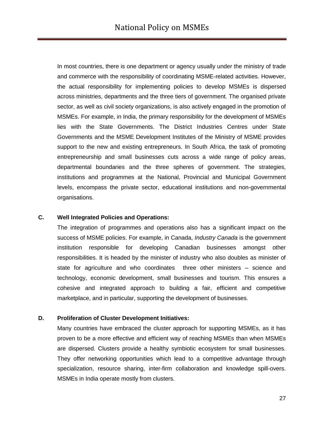In most countries, there is one department or agency usually under the ministry of trade and commerce with the responsibility of coordinating MSME-related activities. However, the actual responsibility for implementing policies to develop MSMEs is dispersed across ministries, departments and the three tiers of government. The organised private sector, as well as civil society organizations, is also actively engaged in the promotion of MSMEs. For example, in India, the primary responsibility for the development of MSMEs lies with the State Governments. The District Industries Centres under State Governments and the MSME Development Institutes of the Ministry of MSME provides support to the new and existing entrepreneurs. In South Africa, the task of promoting entrepreneurship and small businesses cuts across a wide range of policy areas, departmental boundaries and the three spheres of government. The strategies, institutions and programmes at the National, Provincial and Municipal Government levels, encompass the private sector, educational institutions and non-governmental organisations.

#### **C. Well Integrated Policies and Operations:**

The integration of programmes and operations also has a significant impact on the success of MSME policies. For example, in Canada, *Industry Canada* is the government institution responsible for developing Canadian businesses amongst other responsibilities. It is headed by the minister of industry who also doubles as minister of state for agriculture and who coordinates three other ministers – science and technology, economic development, small businesses and tourism. This ensures a cohesive and integrated approach to building a fair, efficient and competitive marketplace, and in particular, supporting the development of businesses.

#### **D. Proliferation of Cluster Development Initiatives:**

Many countries have embraced the cluster approach for supporting MSMEs, as it has proven to be a more effective and efficient way of reaching MSMEs than when MSMEs are dispersed. Clusters provide a healthy symbiotic ecosystem for small businesses. They offer networking opportunities which lead to a competitive advantage through specialization, resource sharing, inter-firm collaboration and knowledge spill-overs. MSMEs in India operate mostly from clusters.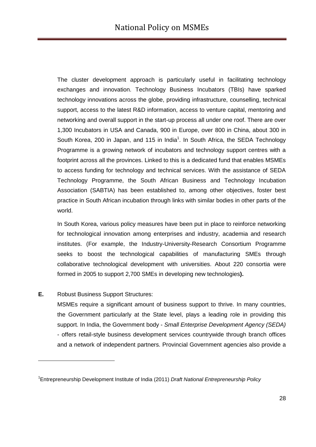The cluster development approach is particularly useful in facilitating technology exchanges and innovation. Technology Business Incubators (TBIs) have sparked technology innovations across the globe, providing infrastructure, counselling, technical support, access to the latest R&D information, access to venture capital, mentoring and networking and overall support in the start-up process all under one roof. There are over 1,300 Incubators in USA and Canada, 900 in Europe, over 800 in China, about 300 in South Korea, 200 in Japan, and 115 in India<sup>1</sup>. In South Africa, the SEDA Technology Programme is a growing network of incubators and technology support centres with a footprint across all the provinces. Linked to this is a dedicated fund that enables MSMEs to access funding for technology and technical services. With the assistance of SEDA Technology Programme, the South African Business and Technology Incubation Association (SABTIA) has been established to, among other objectives, foster best practice in South African incubation through links with similar bodies in other parts of the world.

In South Korea, various policy measures have been put in place to reinforce networking for technological innovation among enterprises and industry, academia and research institutes. (For example, the Industry-University-Research Consortium Programme seeks to boost the technological capabilities of manufacturing SMEs through collaborative technological development with universities. About 220 consortia were formed in 2005 to support 2,700 SMEs in developing new technologies**).**

#### **E.** Robust Business Support Structures:

-

MSMEs require a significant amount of business support to thrive. In many countries, the Government particularly at the State level, plays a leading role in providing this support. In India, the Government body - *Small Enterprise Development Agency (SEDA)* - offers retail-style business development services countrywide through branch offices and a network of independent partners. Provincial Government agencies also provide a

<sup>1</sup> Entrepreneurship Development Institute of India (2011) *Draft National Entrepreneurship Policy*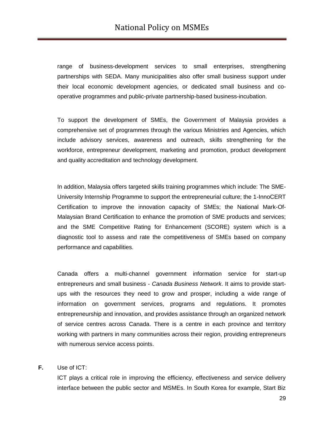range of business-development services to small enterprises, strengthening partnerships with SEDA. Many municipalities also offer small business support under their local economic development agencies, or dedicated small business and cooperative programmes and public-private partnership-based business-incubation.

To support the development of SMEs, the Government of Malaysia provides a comprehensive set of programmes through the various Ministries and Agencies, which include advisory services, awareness and outreach, skills strengthening for the workforce, entrepreneur development, marketing and promotion, product development and quality accreditation and technology development.

In addition, Malaysia offers targeted skills training programmes which include: The SME-University Internship Programme to support the entrepreneurial culture; the 1-InnoCERT Certification to improve the innovation capacity of SMEs; the National Mark-Of-Malaysian Brand Certification to enhance the promotion of SME products and services; and the SME Competitive Rating for Enhancement (SCORE) system which is a diagnostic tool to assess and rate the competitiveness of SMEs based on company performance and capabilities.

Canada offers a multi-channel government information service for start-up entrepreneurs and small business - *Canada Business Network*. It aims to provide startups with the resources they need to grow and prosper, including a wide range of information on government services, programs and regulations. It promotes entrepreneurship and innovation, and provides assistance through an organized network of service centres across Canada. There is a centre in each province and territory working with partners in many communities across their region, providing entrepreneurs with numerous service access points.

**F.** Use of ICT:

ICT plays a critical role in improving the efficiency, effectiveness and service delivery interface between the public sector and MSMEs. In South Korea for example, Start Biz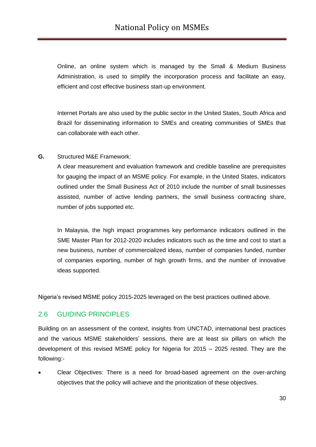Online, an online system which is managed by the Small & Medium Business Administration, is used to simplify the incorporation process and facilitate an easy, efficient and cost effective business start-up environment.

Internet Portals are also used by the public sector in the United States, South Africa and Brazil for disseminating information to SMEs and creating communities of SMEs that can collaborate with each other.

**G.** Structured M&E Framework:

A clear measurement and evaluation framework and credible baseline are prerequisites for gauging the impact of an MSME policy. For example, in the United States, indicators outlined under the Small Business Act of 2010 include the number of small businesses assisted, number of active lending partners, the small business contracting share, number of jobs supported etc.

In Malaysia, the high impact programmes key performance indicators outlined in the SME Master Plan for 2012-2020 includes indicators such as the time and cost to start a new business, number of commercialized ideas, number of companies funded, number of companies exporting, number of high growth firms, and the number of innovative ideas supported.

Nigeria"s revised MSME policy 2015-2025 leveraged on the best practices outlined above.

#### 2.6 GUIDING PRINCIPLES

Building on an assessment of the context, insights from UNCTAD, international best practices and the various MSME stakeholders' sessions, there are at least six pillars on which the development of this revised MSME policy for Nigeria for 2015 – 2025 rested. They are the following:-

 Clear Objectives: There is a need for broad-based agreement on the over-arching objectives that the policy will achieve and the prioritization of these objectives.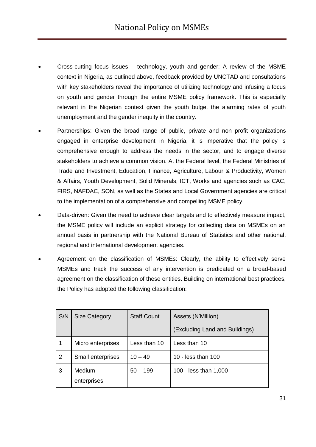- Cross-cutting focus issues technology, youth and gender: A review of the MSME context in Nigeria, as outlined above, feedback provided by UNCTAD and consultations with key stakeholders reveal the importance of utilizing technology and infusing a focus on youth and gender through the entire MSME policy framework. This is especially relevant in the Nigerian context given the youth bulge, the alarming rates of youth unemployment and the gender inequity in the country.
- Partnerships: Given the broad range of public, private and non profit organizations engaged in enterprise development in Nigeria, it is imperative that the policy is comprehensive enough to address the needs in the sector, and to engage diverse stakeholders to achieve a common vision. At the Federal level, the Federal Ministries of Trade and Investment, Education, Finance, Agriculture, Labour & Productivity, Women & Affairs, Youth Development, Solid Minerals, ICT, Works and agencies such as CAC, FIRS, NAFDAC, SON, as well as the States and Local Government agencies are critical to the implementation of a comprehensive and compelling MSME policy.
- Data-driven: Given the need to achieve clear targets and to effectively measure impact, the MSME policy will include an explicit strategy for collecting data on MSMEs on an annual basis in partnership with the National Bureau of Statistics and other national, regional and international development agencies.
- Agreement on the classification of MSMEs: Clearly, the ability to effectively serve MSMEs and track the success of any intervention is predicated on a broad-based agreement on the classification of these entities. Building on international best practices, the Policy has adopted the following classification:

| S/N | <b>Size Category</b>  | <b>Staff Count</b> | Assets (N'Million)             |
|-----|-----------------------|--------------------|--------------------------------|
|     |                       |                    | (Excluding Land and Buildings) |
|     | Micro enterprises     | Less than 10       | Less than 10                   |
| 2   | Small enterprises     | $10 - 49$          | 10 - less than 100             |
| 3   | Medium<br>enterprises | $50 - 199$         | 100 - less than 1,000          |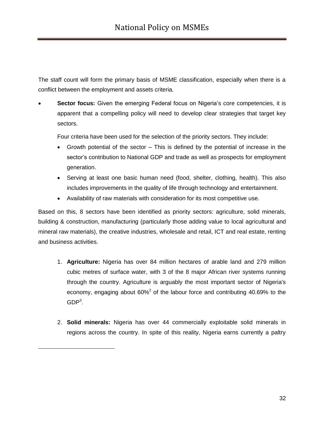The staff count will form the primary basis of MSME classification, especially when there is a conflict between the employment and assets criteria.

**Sector focus:** Given the emerging Federal focus on Nigeria's core competencies, it is apparent that a compelling policy will need to develop clear strategies that target key sectors.

Four criteria have been used for the selection of the priority sectors. They include:

- Growth potential of the sector This is defined by the potential of increase in the sector's contribution to National GDP and trade as well as prospects for employment generation.
- Serving at least one basic human need (food, shelter, clothing, health). This also includes improvements in the quality of life through technology and entertainment.
- Availability of raw materials with consideration for its most competitive use.

Based on this, 8 sectors have been identified as priority sectors: agriculture, solid minerals, building & construction, manufacturing (particularly those adding value to local agricultural and mineral raw materials), the creative industries, wholesale and retail, ICT and real estate, renting and business activities.

- 1. **Agriculture:** Nigeria has over 84 million hectares of arable land and 279 million cubic metres of surface water, with 3 of the 8 major African river systems running through the country. Agriculture is arguably the most important sector of Nigeria's economy, engaging about  $60\%^2$  of the labour force and contributing 40.69% to the  $GDP<sup>3</sup>$ .
- 2. **Solid minerals:** Nigeria has over 44 commercially exploitable solid minerals in regions across the country. In spite of this reality, Nigeria earns currently a paltry

-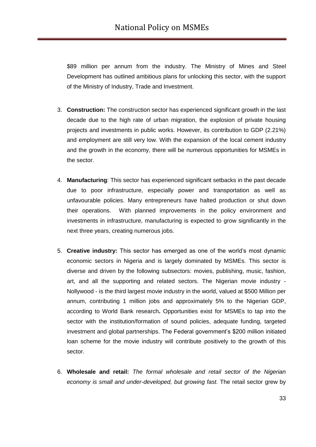\$89 million per annum from the industry. The Ministry of Mines and Steel Development has outlined ambitious plans for unlocking this sector, with the support of the Ministry of Industry, Trade and Investment.

- 3. **Construction:** The construction sector has experienced significant growth in the last decade due to the high rate of urban migration, the explosion of private housing projects and investments in public works. However, its contribution to GDP (2.21%) and employment are still very low. With the expansion of the local cement industry and the growth in the economy, there will be numerous opportunities for MSMEs in the sector.
- 4. **Manufacturing**: This sector has experienced significant setbacks in the past decade due to poor infrastructure, especially power and transportation as well as unfavourable policies. Many entrepreneurs have halted production or shut down their operations. With planned improvements in the policy environment and investments in infrastructure, manufacturing is expected to grow significantly in the next three years, creating numerous jobs.
- 5. **Creative industry:** This sector has emerged as one of the world"s most dynamic economic sectors in Nigeria and is largely dominated by MSMEs. This sector is diverse and driven by the following subsectors: movies, publishing, music, fashion, art, and all the supporting and related sectors. The Nigerian movie industry - Nollywood - is the third largest movie industry in the world, valued at \$500 Million per annum, contributing 1 million jobs and approximately 5% to the Nigerian GDP, according to World Bank research**.** Opportunities exist for MSMEs to tap into the sector with the institution/formation of sound policies, adequate funding, targeted investment and global partnerships. The Federal government"s \$200 million initiated loan scheme for the movie industry will contribute positively to the growth of this sector.
- 6. **Wholesale and retail:** *The formal wholesale and retail sector of the Nigerian economy is small and under-developed, but growing fast.* The retail sector grew by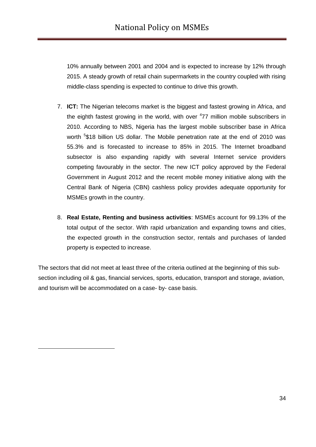10% annually between 2001 and 2004 and is expected to increase by 12% through 2015. A steady growth of retail chain supermarkets in the country coupled with rising middle-class spending is expected to continue to drive this growth.

- 7. **ICT:** The Nigerian telecoms market is the biggest and fastest growing in Africa, and the eighth fastest growing in the world, with over <sup>4</sup>77 million mobile subscribers in 2010. According to NBS, Nigeria has the largest mobile subscriber base in Africa worth <sup>5</sup>\$18 billion US dollar. The Mobile penetration rate at the end of 2010 was 55.3% and is forecasted to increase to 85% in 2015. The Internet broadband subsector is also expanding rapidly with several Internet service providers competing favourably in the sector. The new ICT policy approved by the Federal Government in August 2012 and the recent mobile money initiative along with the Central Bank of Nigeria (CBN) cashless policy provides adequate opportunity for MSMEs growth in the country.
- 8. **Real Estate, Renting and business activities**: MSMEs account for 99.13% of the total output of the sector. With rapid urbanization and expanding towns and cities, the expected growth in the construction sector, rentals and purchases of landed property is expected to increase.

The sectors that did not meet at least three of the criteria outlined at the beginning of this subsection including oil & gas, financial services, sports, education, transport and storage, aviation, and tourism will be accommodated on a case- by- case basis.

-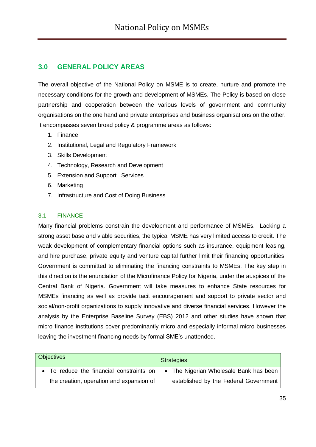## **3.0 GENERAL POLICY AREAS**

The overall objective of the National Policy on MSME is to create, nurture and promote the necessary conditions for the growth and development of MSMEs. The Policy is based on close partnership and cooperation between the various levels of government and community organisations on the one hand and private enterprises and business organisations on the other. It encompasses seven broad policy & programme areas as follows:

- 1. Finance
- 2. Institutional, Legal and Regulatory Framework
- 3. Skills Development
- 4. Technology, Research and Development
- 5. Extension and Support Services
- 6. Marketing
- 7. Infrastructure and Cost of Doing Business

#### <span id="page-34-0"></span>3.1 FINANCE

Many financial problems constrain the development and performance of MSMEs. Lacking a strong asset base and viable securities, the typical MSME has very limited access to credit. The weak development of complementary financial options such as insurance, equipment leasing, and hire purchase, private equity and venture capital further limit their financing opportunities. Government is committed to eliminating the financing constraints to MSMEs. The key step in this direction is the enunciation of the Microfinance Policy for Nigeria, under the auspices of the Central Bank of Nigeria. Government will take measures to enhance State resources for MSMEs financing as well as provide tacit encouragement and support to private sector and social/non-profit organizations to supply innovative and diverse financial services. However the analysis by the Enterprise Baseline Survey (EBS) 2012 and other studies have shown that micro finance institutions cover predominantly micro and especially informal micro businesses leaving the investment financing needs by formal SME"s unattended.

| <b>Objectives</b>                        | <b>Strategies</b>                      |
|------------------------------------------|----------------------------------------|
| • To reduce the financial constraints on | • The Nigerian Wholesale Bank has been |
| the creation, operation and expansion of | established by the Federal Government  |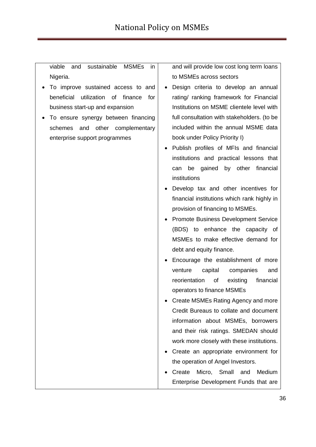viable and sustainable MSMEs in Nigeria.

- To improve sustained access to and beneficial utilization of finance for business start-up and expansion
- To ensure synergy between financing schemes and other complementary enterprise support programmes

and will provide low cost long term loans to MSMEs across sectors

- Design criteria to develop an annual rating/ ranking framework for Financial Institutions on MSME clientele level with full consultation with stakeholders. (to be included within the annual MSME data book under Policy Priority I)
- Publish profiles of MFIs and financial institutions and practical lessons that can be gained by other financial institutions
- Develop tax and other incentives for financial institutions which rank highly in provision of financing to MSMEs.
- Promote Business Development Service (BDS) to enhance the capacity of MSMEs to make effective demand for debt and equity finance.
- Encourage the establishment of more venture capital companies and reorientation of existing financial operators to finance MSMEs
- Create MSMEs Rating Agency and more Credit Bureaus to collate and document information about MSMEs, borrowers and their risk ratings. SMEDAN should work more closely with these institutions.
- Create an appropriate environment for the operation of Angel Investors.
- Create Micro, Small and Medium Enterprise Development Funds that are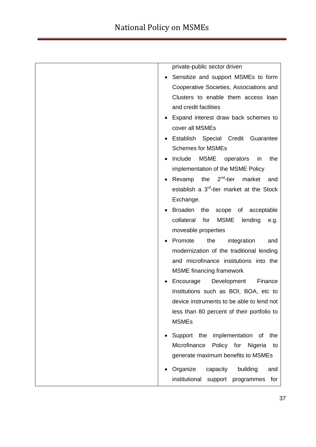| private-public sector driven                               |
|------------------------------------------------------------|
| Sensitize and support MSMEs to form                        |
| Cooperative Societies, Associations and                    |
| Clusters to enable them access loan                        |
| and credit facilities                                      |
| Expand interest draw back schemes to                       |
| cover all MSMEs                                            |
| Establish Special Credit Guarantee                         |
| <b>Schemes for MSMEs</b>                                   |
| Include<br><b>MSME</b><br>operators<br>the<br>in           |
| implementation of the MSME Policy                          |
| Revamp the $2^{nd}$ -tier market<br>and                    |
| establish a 3 <sup>rd</sup> -tier market at the Stock      |
| Exchange.                                                  |
| Broaden the scope of acceptable                            |
| collateral<br>for<br>MSME<br>lending<br>e.g.               |
| moveable properties                                        |
| Promote<br>the<br>integration<br>and                       |
| modernization of the traditional lending                   |
| and microfinance institutions into the                     |
| <b>MSME</b> financing framework                            |
| Encourage<br>Development<br>Finance                        |
| Institutions such as BOI, BOA, etc to                      |
| device instruments to be able to lend not                  |
| less than 80 percent of their portfolio to<br><b>MSMEs</b> |
|                                                            |
| Support the implementation of the                          |
| Microfinance<br>Policy for<br>Nigeria<br>to                |
| generate maximum benefits to MSMEs                         |
| Organize<br>building<br>capacity<br>and                    |
| institutional<br>support programmes<br>for                 |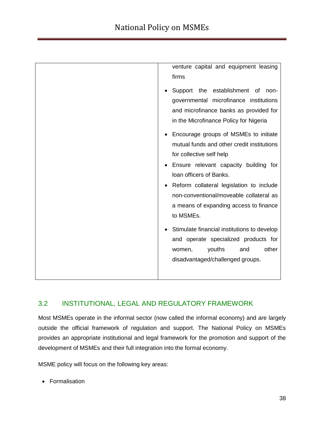| venture capital and equipment leasing<br>firms                                                                                                                                                                                                                                                                                                                                                                                                                                                   |
|--------------------------------------------------------------------------------------------------------------------------------------------------------------------------------------------------------------------------------------------------------------------------------------------------------------------------------------------------------------------------------------------------------------------------------------------------------------------------------------------------|
| Support the establishment of non-<br>governmental microfinance institutions<br>and microfinance banks as provided for<br>in the Microfinance Policy for Nigeria                                                                                                                                                                                                                                                                                                                                  |
| Encourage groups of MSMEs to initiate<br>mutual funds and other credit institutions<br>for collective self help<br>Ensure relevant capacity building for<br>Ioan officers of Banks.<br>Reform collateral legislation to include<br>non-conventional/moveable collateral as<br>a means of expanding access to finance<br>to MSMEs.<br>Stimulate financial institutions to develop<br>and operate specialized products for<br>other<br>youths<br>and<br>women,<br>disadvantaged/challenged groups. |
|                                                                                                                                                                                                                                                                                                                                                                                                                                                                                                  |

## 3.2 INSTITUTIONAL, LEGAL AND REGULATORY FRAMEWORK

Most MSMEs operate in the informal sector (now called the informal economy) and are largely outside the official framework of regulation and support. The National Policy on MSMEs provides an appropriate institutional and legal framework for the promotion and support of the development of MSMEs and their full integration into the formal economy.

MSME policy will focus on the following key areas:

• Formalisation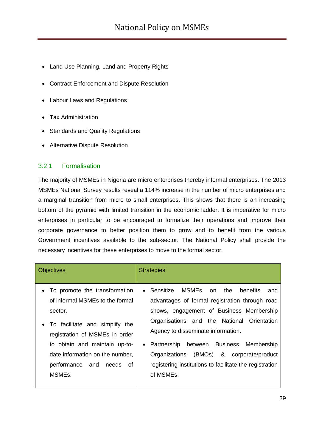- Land Use Planning, Land and Property Rights
- Contract Enforcement and Dispute Resolution
- Labour Laws and Regulations
- Tax Administration
- Standards and Quality Regulations
- Alternative Dispute Resolution

#### 3.2.1 Formalisation

The majority of MSMEs in Nigeria are micro enterprises thereby informal enterprises. The 2013 MSMEs National Survey results reveal a 114% increase in the number of micro enterprises and a marginal transition from micro to small enterprises. This shows that there is an increasing bottom of the pyramid with limited transition in the economic ladder. It is imperative for micro enterprises in particular to be encouraged to formalize their operations and improve their corporate governance to better position them to grow and to benefit from the various Government incentives available to the sub-sector. The National Policy shall provide the necessary incentives for these enterprises to move to the formal sector.

| <b>Objectives</b>                                                                                                                                                                                                                                                        | <b>Strategies</b>                                                                                                                                                                                                                                                                                                                                                                                                  |
|--------------------------------------------------------------------------------------------------------------------------------------------------------------------------------------------------------------------------------------------------------------------------|--------------------------------------------------------------------------------------------------------------------------------------------------------------------------------------------------------------------------------------------------------------------------------------------------------------------------------------------------------------------------------------------------------------------|
| • To promote the transformation<br>of informal MSMEs to the formal<br>sector.<br>• To facilitate and simplify the<br>registration of MSMEs in order<br>to obtain and maintain up-to-<br>date information on the number,<br>performance and needs of<br>MSME <sub>s</sub> | MSMEs on the<br>• Sensitize<br>benefits<br>and<br>advantages of formal registration through road<br>shows, engagement of Business Membership<br>Organisations and the National Orientation<br>Agency to disseminate information.<br>between Business Membership<br>Partnership<br>$\bullet$<br>(BMOs) & corporate/product<br>Organizations<br>registering institutions to facilitate the registration<br>of MSMEs. |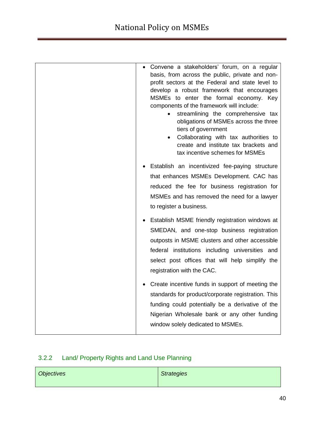| Convene a stakeholders' forum, on a regular<br>basis, from across the public, private and non-<br>profit sectors at the Federal and state level to<br>develop a robust framework that encourages<br>MSMEs to enter the formal economy. Key<br>components of the framework will include:<br>streamlining the comprehensive tax<br>obligations of MSMEs across the three<br>tiers of government<br>Collaborating with tax authorities to<br>$\bullet$<br>create and institute tax brackets and<br>tax incentive schemes for MSMEs |
|---------------------------------------------------------------------------------------------------------------------------------------------------------------------------------------------------------------------------------------------------------------------------------------------------------------------------------------------------------------------------------------------------------------------------------------------------------------------------------------------------------------------------------|
| Establish an incentivized fee-paying structure<br>that enhances MSMEs Development. CAC has<br>reduced the fee for business registration for<br>MSMEs and has removed the need for a lawyer<br>to register a business.                                                                                                                                                                                                                                                                                                           |
| • Establish MSME friendly registration windows at<br>SMEDAN, and one-stop business registration<br>outposts in MSME clusters and other accessible<br>federal institutions including universities and<br>select post offices that will help simplify the<br>registration with the CAC.                                                                                                                                                                                                                                           |
| • Create incentive funds in support of meeting the<br>standards for product/corporate registration. This<br>funding could potentially be a derivative of the<br>Nigerian Wholesale bank or any other funding<br>window solely dedicated to MSMEs.                                                                                                                                                                                                                                                                               |

# 3.2.2 Land/ Property Rights and Land Use Planning

| Objectives | <b>Strategies</b> |
|------------|-------------------|
|            |                   |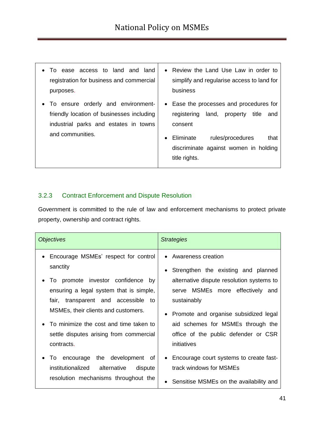- To ease access to land and land registration for business and commercial purposes.
- To ensure orderly and environmentfriendly location of businesses including industrial parks and estates in towns and communities.
- Review the Land Use Law in order to simplify and regularise access to land for business
- Ease the processes and procedures for registering land, property title and consent
- Eliminate rules/procedures that discriminate against women in holding title rights.

#### 3.2.3 Contract Enforcement and Dispute Resolution

Government is committed to the rule of law and enforcement mechanisms to protect private property, ownership and contract rights.

| <i><b>Objectives</b></i>                                                                                                                                                                                          | <b>Strategies</b>                                                                                                                                                                                        |
|-------------------------------------------------------------------------------------------------------------------------------------------------------------------------------------------------------------------|----------------------------------------------------------------------------------------------------------------------------------------------------------------------------------------------------------|
| Encourage MSMEs' respect for control<br>sanctity<br>To promote investor confidence<br>bv<br>ensuring a legal system that is simple,<br>fair, transparent and accessible to<br>MSMEs, their clients and customers. | • Awareness creation<br>• Strengthen the existing and planned<br>alternative dispute resolution systems to<br>serve MSMEs more effectively and<br>sustainably<br>• Promote and organise subsidized legal |
| To minimize the cost and time taken to                                                                                                                                                                            | aid schemes for MSMEs through the                                                                                                                                                                        |
| settle disputes arising from commercial                                                                                                                                                                           | office of the public defender or CSR                                                                                                                                                                     |
| contracts.                                                                                                                                                                                                        | initiatives                                                                                                                                                                                              |
| To encourage the development of                                                                                                                                                                                   | Encourage court systems to create fast-                                                                                                                                                                  |
| institutionalized alternative                                                                                                                                                                                     | $\bullet$                                                                                                                                                                                                |
| dispute                                                                                                                                                                                                           | track windows for MSMEs                                                                                                                                                                                  |
| resolution mechanisms throughout the                                                                                                                                                                              | Sensitise MSMEs on the availability and                                                                                                                                                                  |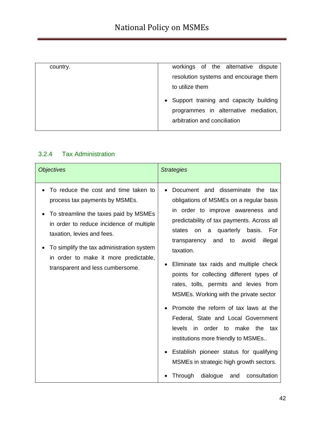| country. | workings of the alternative dispute<br>resolution systems and encourage them                                     |
|----------|------------------------------------------------------------------------------------------------------------------|
|          | to utilize them                                                                                                  |
|          | • Support training and capacity building<br>programmes in alternative mediation,<br>arbitration and conciliation |

## 3.2.4 Tax Administration

| <b>Objectives</b>                                                                                                                                                                                                                                                                                                   | <b>Strategies</b>                                                                                                                                                                                                                                                                                                                                                                                                                                                                                                                                                                                                                                                                                                                                            |
|---------------------------------------------------------------------------------------------------------------------------------------------------------------------------------------------------------------------------------------------------------------------------------------------------------------------|--------------------------------------------------------------------------------------------------------------------------------------------------------------------------------------------------------------------------------------------------------------------------------------------------------------------------------------------------------------------------------------------------------------------------------------------------------------------------------------------------------------------------------------------------------------------------------------------------------------------------------------------------------------------------------------------------------------------------------------------------------------|
| To reduce the cost and time taken to<br>process tax payments by MSMEs.<br>To streamline the taxes paid by MSMEs<br>in order to reduce incidence of multiple<br>taxation, levies and fees.<br>To simplify the tax administration system<br>in order to make it more predictable,<br>transparent and less cumbersome. | Document and disseminate the tax<br>obligations of MSMEs on a regular basis<br>in order to improve awareness and<br>predictability of tax payments. Across all<br>quarterly<br>basis.<br>For<br>states<br>on<br>a<br>and<br>avoid<br>transparency<br>to<br>illegal<br>taxation.<br>Eliminate tax raids and multiple check<br>points for collecting different types of<br>rates, tolls, permits and levies from<br>MSMEs. Working with the private sector<br>Promote the reform of tax laws at the<br>Federal, State and Local Government<br>levels<br>in order to make the<br>tax<br>institutions more friendly to MSMEs<br>Establish pioneer status for qualifying<br>MSMEs in strategic high growth sectors.<br>consultation<br>Through<br>dialogue<br>and |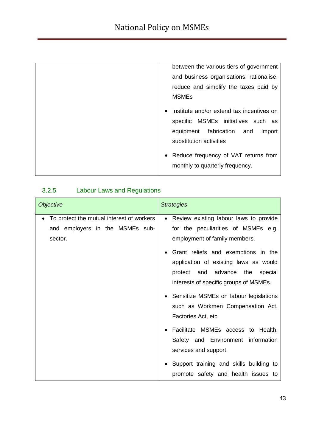| between the various tiers of government                |
|--------------------------------------------------------|
| and business organisations; rationalise,               |
| reduce and simplify the taxes paid by                  |
| <b>MSMEs</b>                                           |
| Institute and/or extend tax incentives on<br>$\bullet$ |
| MSMEs initiatives such as<br>specific                  |
| equipment fabrication and<br>import                    |
| substitution activities                                |
| • Reduce frequency of VAT returns from                 |
| monthly to quarterly frequency.                        |
|                                                        |

# 3.2.5 Labour Laws and Regulations

| <b>Objective</b>                                                                                     | <b>Strategies</b>                                                                                                                                                                                                                                                                                                                                                                                                             |
|------------------------------------------------------------------------------------------------------|-------------------------------------------------------------------------------------------------------------------------------------------------------------------------------------------------------------------------------------------------------------------------------------------------------------------------------------------------------------------------------------------------------------------------------|
| To protect the mutual interest of workers<br>$\bullet$<br>and employers in the MSMEs sub-<br>sector. | • Review existing labour laws to provide<br>for the peculiarities of MSMEs e.g.<br>employment of family members.<br>Grant reliefs and exemptions in the<br>application of existing laws as would<br>protect and advance the<br>special<br>interests of specific groups of MSMEs.<br>• Sensitize MSMEs on labour legislations<br>such as Workmen Compensation Act,<br>Factories Act, etc<br>Facilitate MSMEs access to Health, |
|                                                                                                      | Safety and Environment information<br>services and support.<br>Support training and skills building to<br>promote safety and health issues to                                                                                                                                                                                                                                                                                 |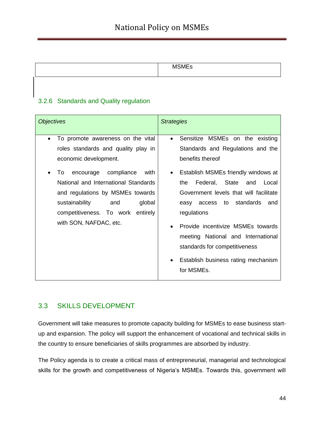| $\sim$ |
|--------|
|        |

## 3.2.6 Standards and Quality regulation

| <i><b>Objectives</b></i>                                                                                                                                                                                                                                                                                                           | <b>Strategies</b>                                                                                                                                                                                                                                                                                                                                                                                                                                                                            |
|------------------------------------------------------------------------------------------------------------------------------------------------------------------------------------------------------------------------------------------------------------------------------------------------------------------------------------|----------------------------------------------------------------------------------------------------------------------------------------------------------------------------------------------------------------------------------------------------------------------------------------------------------------------------------------------------------------------------------------------------------------------------------------------------------------------------------------------|
| To promote awareness on the vital<br>$\bullet$<br>roles standards and quality play in<br>economic development.<br>encourage compliance<br>with<br>To<br>National and International Standards<br>and regulations by MSMEs towards<br>sustainability<br>and<br>global<br>competitiveness. To work entirely<br>with SON, NAFDAC, etc. | Sensitize MSMEs on the existing<br>$\bullet$<br>Standards and Regulations and the<br>benefits thereof<br>Establish MSMEs friendly windows at<br>$\bullet$<br>Federal,<br>State<br>Local<br>the<br>and<br>Government levels that will facilitate<br>easy access to standards<br>and<br>regulations<br>Provide incentivize MSMEs towards<br>$\bullet$<br>meeting National and International<br>standards for competitiveness<br>Establish business rating mechanism<br>$\bullet$<br>for MSMEs. |

## 3.3 SKILLS DEVELOPMENT

Government will take measures to promote capacity building for MSMEs to ease business startup and expansion. The policy will support the enhancement of vocational and technical skills in the country to ensure beneficiaries of skills programmes are absorbed by industry.

The Policy agenda is to create a critical mass of entrepreneurial, managerial and technological skills for the growth and competitiveness of Nigeria's MSMEs. Towards this, government will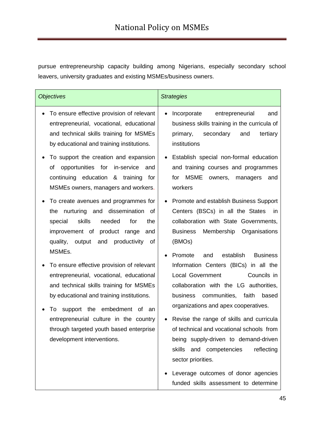pursue entrepreneurship capacity building among Nigerians, especially secondary school leavers, university graduates and existing MSMEs/business owners.

| <b>Objectives</b>                                                                                                                                                                                                                                                                                                                                  | <b>Strategies</b>                                                                                                                                                                                                                                                                                                                                                                                 |
|----------------------------------------------------------------------------------------------------------------------------------------------------------------------------------------------------------------------------------------------------------------------------------------------------------------------------------------------------|---------------------------------------------------------------------------------------------------------------------------------------------------------------------------------------------------------------------------------------------------------------------------------------------------------------------------------------------------------------------------------------------------|
| To ensure effective provision of relevant<br>entrepreneurial, vocational, educational<br>and technical skills training for MSMEs<br>by educational and training institutions.                                                                                                                                                                      | Incorporate<br>entrepreneurial<br>and<br>business skills training in the curricula of<br>secondary<br>primary,<br>and<br>tertiary<br>institutions                                                                                                                                                                                                                                                 |
| To support the creation and expansion<br>opportunities for<br>in-service<br>οf<br>and<br>continuing education & training<br>for<br>MSMEs owners, managers and workers.                                                                                                                                                                             | Establish special non-formal education<br>and training courses and programmes<br><b>MSME</b><br>for<br>owners,<br>managers<br>and<br>workers                                                                                                                                                                                                                                                      |
| To create avenues and programmes for<br>nurturing and dissemination<br>the<br>0f<br>skills<br>needed<br>the<br>special<br>for<br>improvement of product range<br>and<br>productivity<br>quality,<br>output<br>and<br>0f                                                                                                                            | Promote and establish Business Support<br>Centers (BSCs) in all the States<br>in.<br>collaboration with State Governments,<br>Membership<br>Organisations<br><b>Business</b><br>(BMOs)                                                                                                                                                                                                            |
| MSMEs.<br>To ensure effective provision of relevant<br>entrepreneurial, vocational, educational<br>and technical skills training for MSMEs<br>by educational and training institutions.<br>support the embedment<br>To<br>of an<br>entrepreneurial culture in the country<br>through targeted youth based enterprise<br>development interventions. | establish<br>Promote<br>and<br><b>Business</b><br>Information Centers (BICs) in all the<br><b>Local Government</b><br>Councils in<br>collaboration with the LG authorities,<br>communities,<br>business<br>faith<br>based<br>organizations and apex cooperatives.<br>Revise the range of skills and curricula<br>of technical and vocational schools from<br>being supply-driven to demand-driven |
|                                                                                                                                                                                                                                                                                                                                                    | reflecting<br>skills<br>and competencies<br>sector priorities.<br>Leverage outcomes of donor agencies<br>funded skills assessment to determine                                                                                                                                                                                                                                                    |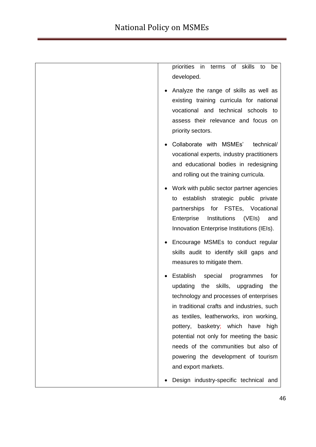| skills<br>priorities in<br>terms<br>of<br>to<br>be                                     |
|----------------------------------------------------------------------------------------|
| developed.                                                                             |
| Analyze the range of skills as well as                                                 |
| existing training curricula for national<br>vocational and technical schools to        |
| assess their relevance and focus on                                                    |
| priority sectors.                                                                      |
| Collaborate with MSMEs'<br>technical/                                                  |
| vocational experts, industry practitioners                                             |
| and educational bodies in redesigning                                                  |
| and rolling out the training curricula.                                                |
| Work with public sector partner agencies                                               |
| to establish strategic public private<br>partnerships for FSTEs, Vocational            |
| Enterprise<br>Institutions<br>(VEIs)<br>and                                            |
| Innovation Enterprise Institutions (IEIs).                                             |
| Encourage MSMEs to conduct regular                                                     |
| skills audit to identify skill gaps and                                                |
| measures to mitigate them.                                                             |
| Establish<br>special<br>for<br>programmes                                              |
| skills,<br>updating<br>the<br>the<br>upgrading                                         |
| technology and processes of enterprises                                                |
| in traditional crafts and industries, such<br>as textiles, leatherworks, iron working, |
| pottery, basketry; which have<br>high                                                  |
| potential not only for meeting the basic                                               |
| needs of the communities but also of                                                   |
| powering the development of tourism                                                    |
| and export markets.                                                                    |
| Design industry-specific technical and                                                 |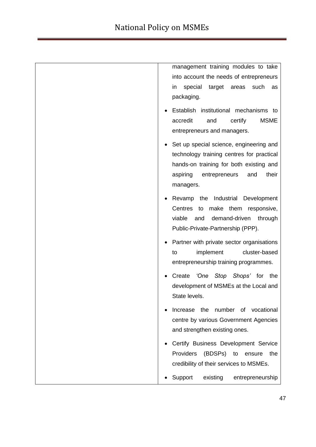| management training modules to take<br>into account the needs of entrepreneurs<br>special<br>target<br>areas<br>such<br>in.<br>as<br>packaging.                                           |
|-------------------------------------------------------------------------------------------------------------------------------------------------------------------------------------------|
| Establish institutional mechanisms to<br><b>MSME</b><br>accredit<br>certify<br>and<br>entrepreneurs and managers.                                                                         |
| Set up special science, engineering and<br>technology training centres for practical<br>hands-on training for both existing and<br>aspiring<br>their<br>entrepreneurs<br>and<br>managers. |
| Revamp the Industrial Development<br>Centres<br>make them responsive,<br>to<br>viable<br>demand-driven<br>and<br>through<br>Public-Private-Partnership (PPP).                             |
| Partner with private sector organisations<br>cluster-based<br>implement<br>to<br>entrepreneurship training programmes.                                                                    |
| <i>'One Stop Shops'</i> for<br>Create<br>the<br>development of MSMEs at the Local and<br>State levels.                                                                                    |
| Increase the number of vocational<br>centre by various Government Agencies<br>and strengthen existing ones.                                                                               |
| Certify Business Development Service<br>Providers<br>(BDSPs) to<br>the<br>ensure<br>credibility of their services to MSMEs.                                                               |
| Support<br>existing<br>entrepreneurship                                                                                                                                                   |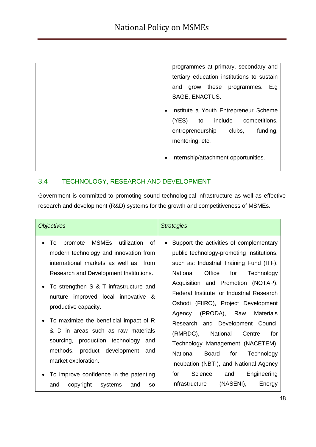| programmes at primary, secondary and              |
|---------------------------------------------------|
| tertiary education institutions to sustain        |
| grow these programmes.<br>E.g<br>and              |
| SAGE, ENACTUS.                                    |
| • Institute a Youth Entrepreneur Scheme           |
| include<br>(YES)<br>competitions,<br>to           |
| entrepreneurship<br>clubs,<br>funding,            |
| mentoring, etc.                                   |
| Internship/attachment opportunities.<br>$\bullet$ |
|                                                   |

## 3.4 TECHNOLOGY, RESEARCH AND DEVELOPMENT

Government is committed to promoting sound technological infrastructure as well as effective research and development (R&D) systems for the growth and competitiveness of MSMEs.

| <b>MSMEs</b><br>utilization<br>0f<br>To<br>promote<br>$\bullet$<br>modern technology and innovation from<br>international markets as well as from<br>National<br>Office<br>Research and Development Institutions.<br>for<br>To strengthen S & T infrastructure and<br>nurture improved local innovative &<br>productive capacity.<br>(PRODA), Raw<br>Materials<br>Agency<br>To maximize the beneficial impact of R<br>D in areas such as raw materials<br>&<br>(RMRDC),<br>National<br>Centre<br>sourcing, production technology and<br>methods, product development and<br>National<br>Board<br>for<br>market exploration.<br>Science<br>for<br>and<br>To improve confidence in the patenting | <i><b>Objectives</b></i> | <b>Strategies</b>                                                                                                                                                                                                                                                        |
|------------------------------------------------------------------------------------------------------------------------------------------------------------------------------------------------------------------------------------------------------------------------------------------------------------------------------------------------------------------------------------------------------------------------------------------------------------------------------------------------------------------------------------------------------------------------------------------------------------------------------------------------------------------------------------------------|--------------------------|--------------------------------------------------------------------------------------------------------------------------------------------------------------------------------------------------------------------------------------------------------------------------|
|                                                                                                                                                                                                                                                                                                                                                                                                                                                                                                                                                                                                                                                                                                |                          | Support the activities of complementary<br>public technology-promoting Institutions,<br>such as: Industrial Training Fund (ITF),<br>Technology<br>Acquisition and Promotion (NOTAP),<br>Federal Institute for Industrial Research<br>Oshodi (FIIRO), Project Development |
| (NASENI),<br>Infrastructure<br>copyright<br>systems<br>and<br>and<br>SO.                                                                                                                                                                                                                                                                                                                                                                                                                                                                                                                                                                                                                       |                          | Research and Development Council<br>for<br>Technology Management (NACETEM),<br>Technology<br>Incubation (NBTI), and National Agency<br>Engineering<br>Energy                                                                                                             |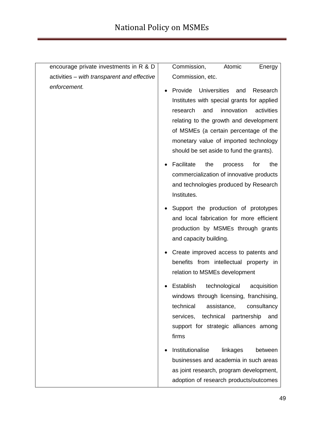| encourage private investments in R & D      | Commission,<br>Atomic<br>Energy                                                                                                                                                                                                                                                                                        |
|---------------------------------------------|------------------------------------------------------------------------------------------------------------------------------------------------------------------------------------------------------------------------------------------------------------------------------------------------------------------------|
| activities - with transparent and effective | Commission, etc.                                                                                                                                                                                                                                                                                                       |
| enforcement.                                | <b>Universities</b><br>Provide<br>Research<br>and<br>Institutes with special grants for applied<br>innovation<br>activities<br>research<br>and<br>relating to the growth and development<br>of MSMEs (a certain percentage of the<br>monetary value of imported technology<br>should be set aside to fund the grants). |
|                                             | Facilitate<br>the<br>for<br>the<br>process<br>commercialization of innovative products<br>and technologies produced by Research<br>Institutes.                                                                                                                                                                         |
|                                             | Support the production of prototypes<br>and local fabrication for more efficient<br>production by MSMEs through grants<br>and capacity building.                                                                                                                                                                       |
|                                             | Create improved access to patents and<br>benefits from intellectual property in<br>relation to MSMEs development                                                                                                                                                                                                       |
|                                             | Establish<br>technological<br>acquisition<br>windows through licensing, franchising,<br>technical<br>assistance,<br>consultancy<br>services,<br>technical<br>partnership<br>and<br>support for strategic alliances among<br>firms                                                                                      |
|                                             | Institutionalise<br>linkages<br>between<br>businesses and academia in such areas<br>as joint research, program development,<br>adoption of research products/outcomes                                                                                                                                                  |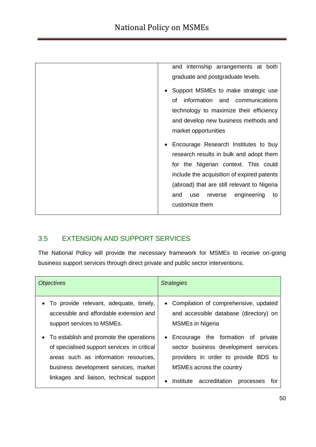| and internship arrangements at both         |
|---------------------------------------------|
| graduate and postgraduate levels.           |
| Support MSMEs to make strategic use         |
| information<br>communications<br>and<br>οf  |
| technology to maximize their efficiency     |
| and develop new business methods and        |
| market opportunities                        |
| Encourage Research Institutes to buy        |
| research results in bulk and adopt them     |
| for the Nigerian context. This could        |
| include the acquisition of expired patents  |
| (abroad) that are still relevant to Nigeria |
| engineering<br>and<br>to<br>use<br>reverse  |
| customize them                              |
|                                             |

# 3.5 EXTENSION AND SUPPORT SERVICES

The National Policy will provide the necessary framework for MSMEs to receive on-going business support services through direct private and public sector interventions.

| <b>Objectives</b>                                                                                                                                                                                                                                                                                                                         | <b>Strategies</b>                                                                                                                                                                                                                                                                                                          |
|-------------------------------------------------------------------------------------------------------------------------------------------------------------------------------------------------------------------------------------------------------------------------------------------------------------------------------------------|----------------------------------------------------------------------------------------------------------------------------------------------------------------------------------------------------------------------------------------------------------------------------------------------------------------------------|
| • To provide relevant, adequate, timely,<br>accessible and affordable extension and<br>support services to MSMEs.<br>• To establish and promote the operations<br>of specialised support services in critical<br>areas such as information resources,<br>business development services, market<br>linkages and liaison, technical support | • Compilation of comprehensive, updated<br>and accessible database (directory) on<br><b>MSMEs in Nigeria</b><br>• Encourage the formation of<br>private<br>sector business development services<br>providers in order to provide BDS to<br>MSMEs across the country<br>accreditation<br>Institute<br>processes<br>tor<br>٠ |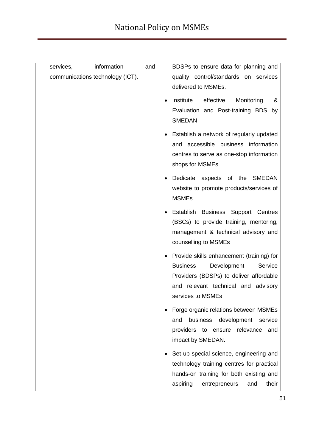| information<br>services,         | and | BDSPs to ensure data for planning and                                                                                                                                                         |
|----------------------------------|-----|-----------------------------------------------------------------------------------------------------------------------------------------------------------------------------------------------|
| communications technology (ICT). |     | quality control/standards on services<br>delivered to MSMEs.                                                                                                                                  |
|                                  |     | Institute<br>effective<br>Monitoring<br>&<br>Evaluation and Post-training BDS by<br><b>SMEDAN</b>                                                                                             |
|                                  |     | Establish a network of regularly updated<br>and accessible business information<br>centres to serve as one-stop information<br>shops for MSMEs                                                |
|                                  |     | Dedicate aspects of the SMEDAN<br>website to promote products/services of<br><b>MSMEs</b>                                                                                                     |
|                                  |     | Establish Business Support Centres<br>(BSCs) to provide training, mentoring,<br>management & technical advisory and<br>counselling to MSMEs                                                   |
|                                  |     | Provide skills enhancement (training) for<br><b>Business</b><br>Development<br>Service<br>Providers (BDSPs) to deliver affordable<br>and relevant technical and advisory<br>services to MSMEs |
|                                  |     | Forge organic relations between MSMEs<br>business<br>development<br>and<br>service<br>providers<br>to<br>ensure relevance<br>and<br>impact by SMEDAN.                                         |
|                                  |     | Set up special science, engineering and<br>technology training centres for practical<br>hands-on training for both existing and<br>aspiring<br>their<br>entrepreneurs<br>and                  |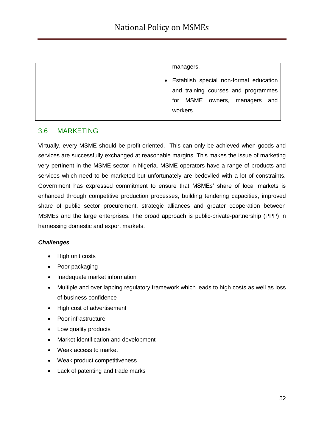| managers.                                                                       |
|---------------------------------------------------------------------------------|
| • Establish special non-formal education<br>and training courses and programmes |
| for MSME owners, managers and                                                   |
| workers                                                                         |

#### 3.6 MARKETING

Virtually, every MSME should be profit-oriented. This can only be achieved when goods and services are successfully exchanged at reasonable margins. This makes the issue of marketing very pertinent in the MSME sector in Nigeria. MSME operators have a range of products and services which need to be marketed but unfortunately are bedeviled with a lot of constraints. Government has expressed commitment to ensure that MSMEs" share of local markets is enhanced through competitive production processes, building tendering capacities, improved share of public sector procurement, strategic alliances and greater cooperation between MSMEs and the large enterprises. The broad approach is public-private-partnership (PPP) in harnessing domestic and export markets.

#### *Challenges*

- High unit costs
- Poor packaging
- Inadequate market information
- Multiple and over lapping regulatory framework which leads to high costs as well as loss of business confidence
- High cost of advertisement
- Poor infrastructure
- Low quality products
- Market identification and development
- Weak access to market
- Weak product competitiveness
- Lack of patenting and trade marks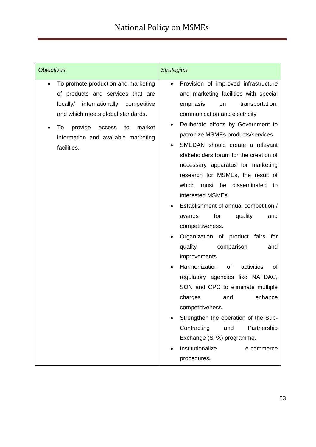| <b>Objectives</b>                                                                                                                                                                                                                                      | <b>Strategies</b>                                                                                                                                                                                                                                                                                                                                                                                                                                                                                                                                                                                                                                                                                                                                                                                                                                                                                                                                                                           |
|--------------------------------------------------------------------------------------------------------------------------------------------------------------------------------------------------------------------------------------------------------|---------------------------------------------------------------------------------------------------------------------------------------------------------------------------------------------------------------------------------------------------------------------------------------------------------------------------------------------------------------------------------------------------------------------------------------------------------------------------------------------------------------------------------------------------------------------------------------------------------------------------------------------------------------------------------------------------------------------------------------------------------------------------------------------------------------------------------------------------------------------------------------------------------------------------------------------------------------------------------------------|
| To promote production and marketing<br>of products and services that are<br>locally/ internationally competitive<br>and which meets global standards.<br>market<br>provide<br>To<br>access<br>to<br>information and available marketing<br>facilities. | Provision of improved infrastructure<br>$\bullet$<br>and marketing facilities with special<br>emphasis<br>transportation,<br>on<br>communication and electricity<br>Deliberate efforts by Government to<br>patronize MSMEs products/services.<br>SMEDAN should create a relevant<br>stakeholders forum for the creation of<br>necessary apparatus for marketing<br>research for MSMEs, the result of<br>disseminated<br>which<br>must be<br>to<br>interested MSMEs.<br>Establishment of annual competition /<br>awards<br>for<br>quality<br>and<br>competitiveness.<br>Organization of product fairs<br>for<br>quality<br>comparison<br>and<br>improvements<br>Harmonization<br>activities<br>of<br>οf<br>regulatory agencies like NAFDAC,<br>SON and CPC to eliminate multiple<br>enhance<br>charges<br>and<br>competitiveness.<br>Strengthen the operation of the Sub-<br>Contracting<br>and<br>Partnership<br>Exchange (SPX) programme.<br>Institutionalize<br>e-commerce<br>procedures. |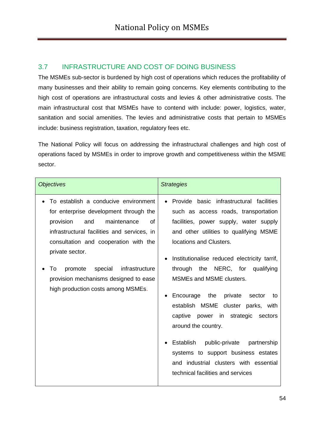# 3.7 INFRASTRUCTURE AND COST OF DOING BUSINESS

The MSMEs sub-sector is burdened by high cost of operations which reduces the profitability of many businesses and their ability to remain going concerns. Key elements contributing to the high cost of operations are infrastructural costs and levies & other administrative costs. The main infrastructural cost that MSMEs have to contend with include: power, logistics, water, sanitation and social amenities. The levies and administrative costs that pertain to MSMEs include: business registration, taxation, regulatory fees etc.

The National Policy will focus on addressing the infrastructural challenges and high cost of operations faced by MSMEs in order to improve growth and competitiveness within the MSME sector.

| <b>Objectives</b>                                                                                                                                                                                                                                                                                                                                               | <b>Strategies</b>                                                                                                                                                                                                                                                                                                                                                                                                                                                                                                                                                                                                                                                    |
|-----------------------------------------------------------------------------------------------------------------------------------------------------------------------------------------------------------------------------------------------------------------------------------------------------------------------------------------------------------------|----------------------------------------------------------------------------------------------------------------------------------------------------------------------------------------------------------------------------------------------------------------------------------------------------------------------------------------------------------------------------------------------------------------------------------------------------------------------------------------------------------------------------------------------------------------------------------------------------------------------------------------------------------------------|
| To establish a conducive environment<br>for enterprise development through the<br>maintenance<br>and<br>of<br>provision<br>infrastructural facilities and services, in<br>consultation and cooperation with the<br>private sector.<br>special<br>infrastructure<br>To<br>promote<br>provision mechanisms designed to ease<br>high production costs among MSMEs. | Provide basic infrastructural facilities<br>$\bullet$<br>such as access roads, transportation<br>facilities, power supply, water supply<br>and other utilities to qualifying MSME<br>locations and Clusters.<br>Institutionalise reduced electricity tarrif,<br>the NERC, for<br>through<br>qualifying<br><b>MSMEs and MSME clusters.</b><br>Encourage the<br>private<br>sector<br>to<br>٠<br>establish MSME cluster parks, with<br>captive power in strategic<br>sectors<br>around the country.<br>Establish<br>public-private<br>partnership<br>systems to support business estates<br>and industrial clusters with essential<br>technical facilities and services |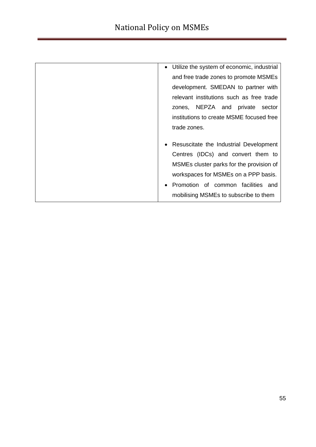| • Utilize the system of economic, industrial |
|----------------------------------------------|
| and free trade zones to promote MSMEs        |
| development. SMEDAN to partner with          |
| relevant institutions such as free trade     |
| zones, NEPZA and private<br>sector           |
| institutions to create MSME focused free     |
| trade zones.                                 |
|                                              |
| Resuscitate the Industrial Development       |
| Centres (IDCs) and convert them to           |
| MSMEs cluster parks for the provision of     |
| workspaces for MSMEs on a PPP basis.         |
| Promotion of common facilities and           |
| mobilising MSMEs to subscribe to them        |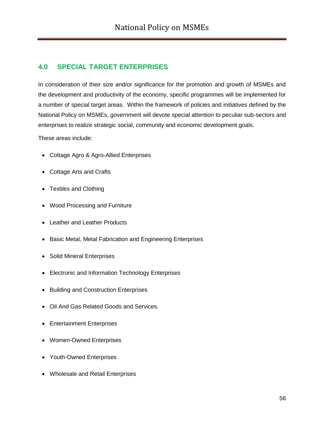## **4.0 SPECIAL TARGET ENTERPRISES**

In consideration of their size and/or significance for the promotion and growth of MSMEs and the development and productivity of the economy, specific programmes will be implemented for a number of special target areas. Within the framework of policies and initiatives defined by the National Policy on MSMEs, government will devote special attention to peculiar sub-sectors and enterprises to realize strategic social, community and economic development goals.

These areas include:

- Cottage Agro & Agro-Allied Enterprises
- Cottage Arts and Crafts
- Textiles and Clothing
- Wood Processing and Furniture
- Leather and Leather Products
- Basic Metal, Metal Fabrication and Engineering Enterprises
- Solid Mineral Enterprises
- Electronic and Information Technology Enterprises
- Building and Construction Enterprises
- Oil And Gas Related Goods and Services.
- Entertainment Enterprises
- Women-Owned Enterprises
- Youth-Owned Enterprises
- Wholesale and Retail Enterprises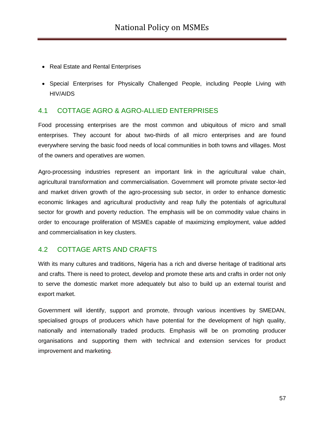- Real Estate and Rental Enterprises
- Special Enterprises for Physically Challenged People, including People Living with HIV/AIDS

### 4.1 COTTAGE AGRO & AGRO-ALLIED ENTERPRISES

Food processing enterprises are the most common and ubiquitous of micro and small enterprises. They account for about two-thirds of all micro enterprises and are found everywhere serving the basic food needs of local communities in both towns and villages. Most of the owners and operatives are women.

Agro-processing industries represent an important link in the agricultural value chain, agricultural transformation and commercialisation. Government will promote private sector-led and market driven growth of the agro-processing sub sector, in order to enhance domestic economic linkages and agricultural productivity and reap fully the potentials of agricultural sector for growth and poverty reduction. The emphasis will be on commodity value chains in order to encourage proliferation of MSMEs capable of maximizing employment, value added and commercialisation in key clusters.

### 4.2 COTTAGE ARTS AND CRAFTS

With its many cultures and traditions, Nigeria has a rich and diverse heritage of traditional arts and crafts. There is need to protect, develop and promote these arts and crafts in order not only to serve the domestic market more adequately but also to build up an external tourist and export market.

Government will identify, support and promote, through various incentives by SMEDAN, specialised groups of producers which have potential for the development of high quality, nationally and internationally traded products. Emphasis will be on promoting producer organisations and supporting them with technical and extension services for product improvement and marketing.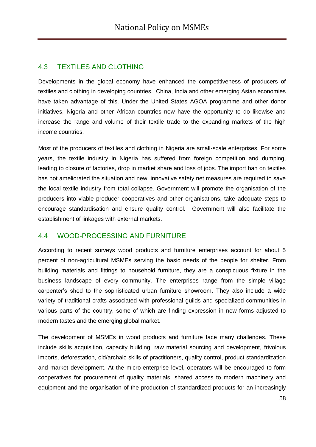## 4.3 TEXTILES AND CLOTHING

Developments in the global economy have enhanced the competitiveness of producers of textiles and clothing in developing countries. China, India and other emerging Asian economies have taken advantage of this. Under the United States AGOA programme and other donor initiatives, Nigeria and other African countries now have the opportunity to do likewise and increase the range and volume of their textile trade to the expanding markets of the high income countries.

Most of the producers of textiles and clothing in Nigeria are small-scale enterprises. For some years, the textile industry in Nigeria has suffered from foreign competition and dumping, leading to closure of factories, drop in market share and loss of jobs. The import ban on textiles has not ameliorated the situation and new, innovative safety net measures are required to save the local textile industry from total collapse. Government will promote the organisation of the producers into viable producer cooperatives and other organisations, take adequate steps to encourage standardisation and ensure quality control. Government will also facilitate the establishment of linkages with external markets.

## 4.4 WOOD-PROCESSING AND FURNITURE

According to recent surveys wood products and furniture enterprises account for about 5 percent of non-agricultural MSMEs serving the basic needs of the people for shelter. From building materials and fittings to household furniture, they are a conspicuous fixture in the business landscape of every community. The enterprises range from the simple village carpenter"s shed to the sophisticated urban furniture showroom. They also include a wide variety of traditional crafts associated with professional guilds and specialized communities in various parts of the country, some of which are finding expression in new forms adjusted to modern tastes and the emerging global market.

The development of MSMEs in wood products and furniture face many challenges. These include skills acquisition, capacity building, raw material sourcing and development, frivolous imports, deforestation, old/archaic skills of practitioners, quality control, product standardization and market development. At the micro-enterprise level, operators will be encouraged to form cooperatives for procurement of quality materials, shared access to modern machinery and equipment and the organisation of the production of standardized products for an increasingly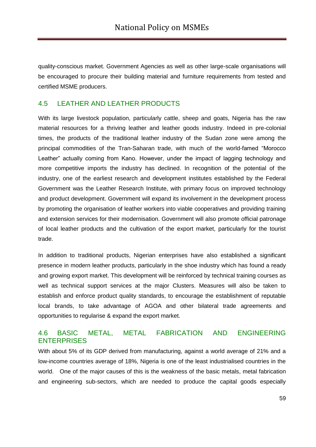quality-conscious market. Government Agencies as well as other large-scale organisations will be encouraged to procure their building material and furniture requirements from tested and certified MSME producers.

### 4.5 LEATHER AND LEATHER PRODUCTS

With its large livestock population, particularly cattle, sheep and goats, Nigeria has the raw material resources for a thriving leather and leather goods industry. Indeed in pre-colonial times, the products of the traditional leather industry of the Sudan zone were among the principal commodities of the Tran-Saharan trade, with much of the world-famed "Morocco Leather" actually coming from Kano. However, under the impact of lagging technology and more competitive imports the industry has declined. In recognition of the potential of the industry, one of the earliest research and development institutes established by the Federal Government was the Leather Research Institute, with primary focus on improved technology and product development. Government will expand its involvement in the development process by promoting the organisation of leather workers into viable cooperatives and providing training and extension services for their modernisation. Government will also promote official patronage of local leather products and the cultivation of the export market, particularly for the tourist trade.

In addition to traditional products, Nigerian enterprises have also established a significant presence in modern leather products, particularly in the shoe industry which has found a ready and growing export market. This development will be reinforced by technical training courses as well as technical support services at the major Clusters. Measures will also be taken to establish and enforce product quality standards, to encourage the establishment of reputable local brands, to take advantage of AGOA and other bilateral trade agreements and opportunities to regularise & expand the export market.

#### 4.6 BASIC METAL, METAL FABRICATION AND ENGINEERING **ENTERPRISES**

With about 5% of its GDP derived from manufacturing, against a world average of 21% and a low-income countries average of 18%, Nigeria is one of the least industrialised countries in the world. One of the major causes of this is the weakness of the basic metals, metal fabrication and engineering sub-sectors, which are needed to produce the capital goods especially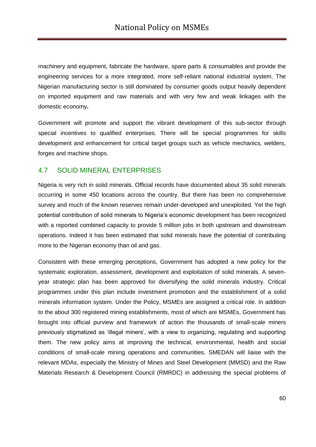machinery and equipment, fabricate the hardware, spare parts & consumables and provide the engineering services for a more integrated, more self-reliant national industrial system. The Nigerian manufacturing sector is still dominated by consumer goods output heavily dependent on imported equipment and raw materials and with very few and weak linkages with the domestic economy**.**

Government will promote and support the vibrant development of this sub-sector through special incentives to qualified enterprises. There will be special programmes for skills development and enhancement for critical target groups such as vehicle mechanics, welders, forges and machine shops.

#### 4.7 SOLID MINERAL ENTERPRISES

Nigeria is very rich in solid minerals. Official records have documented about 35 solid minerals occurring in some 450 locations across the country. But there has been no comprehensive survey and much of the known reserves remain under-developed and unexploited. Yet the high potential contribution of solid minerals to Nigeria's economic development has been recognized with a reported combined capacity to provide 5 million jobs in both upstream and downstream operations. Indeed it has been estimated that solid minerals have the potential of contributing more to the Nigerian economy than oil and gas.

Consistent with these emerging perceptions, Government has adopted a new policy for the systematic exploration, assessment, development and exploitation of solid minerals. A sevenyear strategic plan has been approved for diversifying the solid minerals industry. Critical programmes under this plan include investment promotion and the establishment of a solid minerals information system. Under the Policy, MSMEs are assigned a critical role. In addition to the about 300 registered mining establishments, most of which are MSMEs, Government has brought into official purview and framework of action the thousands of small-scale miners previously stigmatized as "illegal miners", with a view to organizing, regulating and supporting them. The new policy aims at improving the technical, environmental, health and social conditions of small-scale mining operations and communities. SMEDAN will liaise with the relevant MDAs, especially the Ministry of Mines and Steel Development (MMSD) and the Raw Materials Research & Development Council (RMRDC) in addressing the special problems of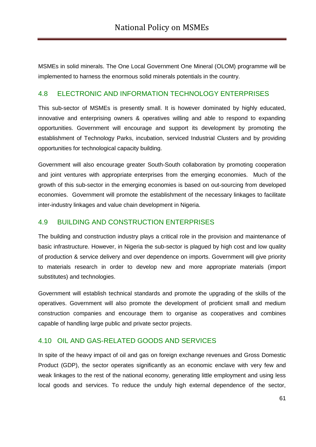MSMEs in solid minerals. The One Local Government One Mineral (OLOM) programme will be implemented to harness the enormous solid minerals potentials in the country.

#### 4.8 ELECTRONIC AND INFORMATION TECHNOLOGY ENTERPRISES

This sub-sector of MSMEs is presently small. It is however dominated by highly educated, innovative and enterprising owners & operatives willing and able to respond to expanding opportunities. Government will encourage and support its development by promoting the establishment of Technology Parks, incubation, serviced Industrial Clusters and by providing opportunities for technological capacity building.

Government will also encourage greater South-South collaboration by promoting cooperation and joint ventures with appropriate enterprises from the emerging economies. Much of the growth of this sub-sector in the emerging economies is based on out-sourcing from developed economies. Government will promote the establishment of the necessary linkages to facilitate inter-industry linkages and value chain development in Nigeria.

#### 4.9 BUILDING AND CONSTRUCTION ENTERPRISES

The building and construction industry plays a critical role in the provision and maintenance of basic infrastructure. However, in Nigeria the sub-sector is plagued by high cost and low quality of production & service delivery and over dependence on imports. Government will give priority to materials research in order to develop new and more appropriate materials (import substitutes) and technologies.

Government will establish technical standards and promote the upgrading of the skills of the operatives. Government will also promote the development of proficient small and medium construction companies and encourage them to organise as cooperatives and combines capable of handling large public and private sector projects.

### 4.10 OIL AND GAS-RELATED GOODS AND SERVICES

In spite of the heavy impact of oil and gas on foreign exchange revenues and Gross Domestic Product (GDP), the sector operates significantly as an economic enclave with very few and weak linkages to the rest of the national economy, generating little employment and using less local goods and services. To reduce the unduly high external dependence of the sector,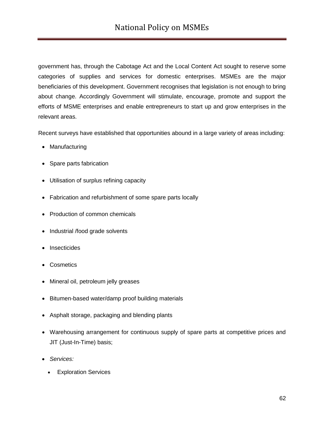government has, through the Cabotage Act and the Local Content Act sought to reserve some categories of supplies and services for domestic enterprises. MSMEs are the major beneficiaries of this development. Government recognises that legislation is not enough to bring about change. Accordingly Government will stimulate, encourage, promote and support the efforts of MSME enterprises and enable entrepreneurs to start up and grow enterprises in the relevant areas.

Recent surveys have established that opportunities abound in a large variety of areas including:

- Manufacturing
- Spare parts fabrication
- Utilisation of surplus refining capacity
- Fabrication and refurbishment of some spare parts locally
- Production of common chemicals
- Industrial /food grade solvents
- Insecticides
- Cosmetics
- Mineral oil, petroleum jelly greases
- Bitumen-based water/damp proof building materials
- Asphalt storage, packaging and blending plants
- Warehousing arrangement for continuous supply of spare parts at competitive prices and JIT (Just-In-Time) basis;
- *Services:*
	- Exploration Services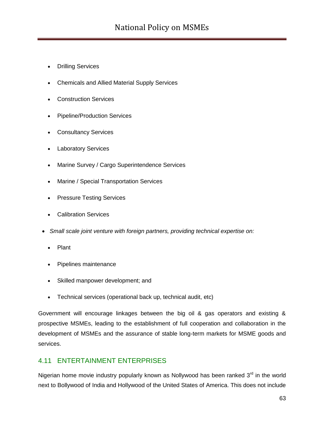# National Policy on MSMEs

- Drilling Services
- Chemicals and Allied Material Supply Services
- Construction Services
- Pipeline/Production Services
- Consultancy Services
- Laboratory Services
- Marine Survey / Cargo Superintendence Services
- Marine / Special Transportation Services
- Pressure Testing Services
- Calibration Services
- *Small scale joint venture with foreign partners, providing technical expertise on:*
	- Plant
	- Pipelines maintenance
	- Skilled manpower development; and
	- Technical services (operational back up, technical audit, etc)

Government will encourage linkages between the big oil & gas operators and existing & prospective MSMEs, leading to the establishment of full cooperation and collaboration in the development of MSMEs and the assurance of stable long-term markets for MSME goods and services.

## 4.11 ENTERTAINMENT ENTERPRISES

Nigerian home movie industry popularly known as Nollywood has been ranked  $3<sup>rd</sup>$  in the world next to Bollywood of India and Hollywood of the United States of America. This does not include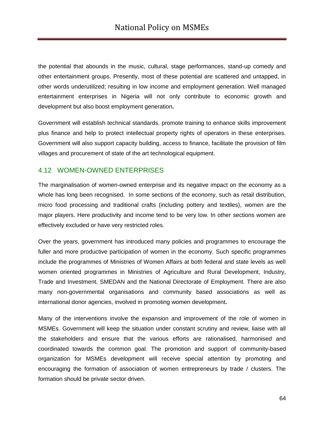the potential that abounds in the music, cultural, stage performances, stand-up comedy and other entertainment groups. Presently, most of these potential are scattered and untapped, in other words underutilized; resulting in low income and employment generation. Well managed entertainment enterprises in Nigeria will not only contribute to economic growth and development but also boost employment generation**.**

Government will establish technical standards, promote training to enhance skills improvement plus finance and help to protect intellectual property rights of operators in these enterprises. Government will also support capacity building, access to finance, facilitate the provision of film villages and procurement of state of the art technological equipment.

### 4.12 WOMEN-OWNED ENTERPRISES

The marginalisation of women-owned enterprise and its negative impact on the economy as a whole has long been recognised. In some sections of the economy, such as retail distribution, micro food processing and traditional crafts (including pottery and textiles), women are the major players. Here productivity and income tend to be very low. In other sections women are effectively excluded or have very restricted roles.

Over the years, government has introduced many policies and programmes to encourage the fuller and more productive participation of women in the economy. Such specific programmes include the programmes of Ministries of Women Affairs at both federal and state levels as well women oriented programmes in Ministries of Agriculture and Rural Development, Industry, Trade and Investment, SMEDAN and the National Directorate of Employment. There are also many non-governmental organisations and community based associations as well as international donor agencies, involved in promoting women development**.**

Many of the interventions involve the expansion and improvement of the role of women in MSMEs. Government will keep the situation under constant scrutiny and review, liaise with all the stakeholders and ensure that the various efforts are rationalised, harmonised and coordinated towards the common goal. The promotion and support of community-based organization for MSMEs development will receive special attention by promoting and encouraging the formation of association of women entrepreneurs by trade / clusters. The formation should be private sector driven.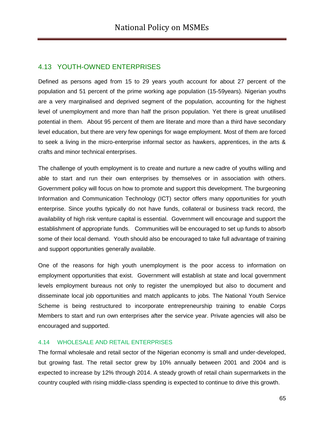## 4.13 YOUTH-OWNED ENTERPRISES

Defined as persons aged from 15 to 29 years youth account for about 27 percent of the population and 51 percent of the prime working age population (15-59years). Nigerian youths are a very marginalised and deprived segment of the population, accounting for the highest level of unemployment and more than half the prison population. Yet there is great unutilised potential in them. About 95 percent of them are literate and more than a third have secondary level education, but there are very few openings for wage employment. Most of them are forced to seek a living in the micro-enterprise informal sector as hawkers, apprentices, in the arts & crafts and minor technical enterprises.

The challenge of youth employment is to create and nurture a new cadre of youths willing and able to start and run their own enterprises by themselves or in association with others. Government policy will focus on how to promote and support this development. The burgeoning Information and Communication Technology (ICT) sector offers many opportunities for youth enterprise. Since youths typically do not have funds, collateral or business track record, the availability of high risk venture capital is essential. Government will encourage and support the establishment of appropriate funds. Communities will be encouraged to set up funds to absorb some of their local demand. Youth should also be encouraged to take full advantage of training and support opportunities generally available.

One of the reasons for high youth unemployment is the poor access to information on employment opportunities that exist. Government will establish at state and local government levels employment bureaus not only to register the unemployed but also to document and disseminate local job opportunities and match applicants to jobs. The National Youth Service Scheme is being restructured to incorporate entrepreneurship training to enable Corps Members to start and run own enterprises after the service year. Private agencies will also be encouraged and supported.

#### 4.14 WHOLESALE AND RETAIL ENTERPRISES

The formal wholesale and retail sector of the Nigerian economy is small and under-developed, but growing fast. The retail sector grew by 10% annually between 2001 and 2004 and is expected to increase by 12% through 2014. A steady growth of retail chain supermarkets in the country coupled with rising middle-class spending is expected to continue to drive this growth.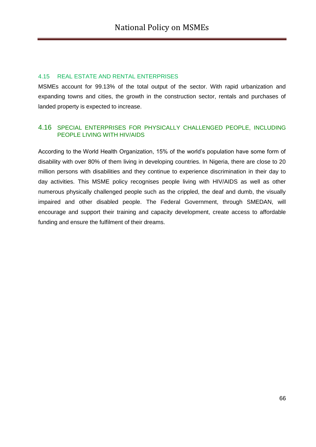#### 4.15 REAL ESTATE AND RENTAL ENTERPRISES

MSMEs account for 99.13% of the total output of the sector. With rapid urbanization and expanding towns and cities, the growth in the construction sector, rentals and purchases of landed property is expected to increase.

#### 4.16 SPECIAL ENTERPRISES FOR PHYSICALLY CHALLENGED PEOPLE, INCLUDING PEOPLE LIVING WITH HIV/AIDS

According to the World Health Organization, 15% of the world"s population have some form of disability with over 80% of them living in developing countries. In Nigeria, there are close to 20 million persons with disabilities and they continue to experience discrimination in their day to day activities. This MSME policy recognises people living with HIV/AIDS as well as other numerous physically challenged people such as the crippled, the deaf and dumb, the visually impaired and other disabled people. The Federal Government, through SMEDAN, will encourage and support their training and capacity development, create access to affordable funding and ensure the fulfilment of their dreams.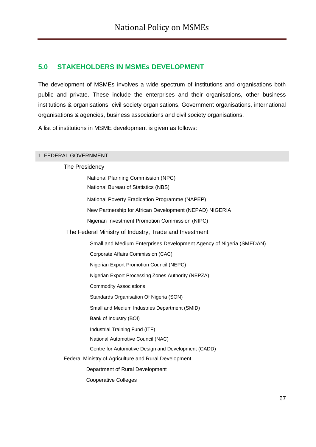## **5.0 STAKEHOLDERS IN MSMEs DEVELOPMENT**

The development of MSMEs involves a wide spectrum of institutions and organisations both public and private. These include the enterprises and their organisations, other business institutions & organisations, civil society organisations, Government organisations, international organisations & agencies, business associations and civil society organisations.

A list of institutions in MSME development is given as follows:

#### 1. FEDERAL GOVERNMENT

# The Presidency

| National Planning Commission (NPC)                                  |
|---------------------------------------------------------------------|
| National Bureau of Statistics (NBS)                                 |
| National Poverty Eradication Programme (NAPEP)                      |
| New Partnership for African Development (NEPAD) NIGERIA             |
| Nigerian Investment Promotion Commission (NIPC)                     |
| The Federal Ministry of Industry, Trade and Investment              |
| Small and Medium Enterprises Development Agency of Nigeria (SMEDAN) |
| Corporate Affairs Commission (CAC)                                  |
| Nigerian Export Promotion Council (NEPC)                            |
| Nigerian Export Processing Zones Authority (NEPZA)                  |
| <b>Commodity Associations</b>                                       |
| Standards Organisation Of Nigeria (SON)                             |
| Small and Medium Industries Department (SMID)                       |
| Bank of Industry (BOI)                                              |
| Industrial Training Fund (ITF)                                      |
| National Automotive Council (NAC)                                   |
| Centre for Automotive Design and Development (CADD)                 |
| Federal Ministry of Agriculture and Rural Development               |
| Department of Rural Development                                     |
| <b>Cooperative Colleges</b>                                         |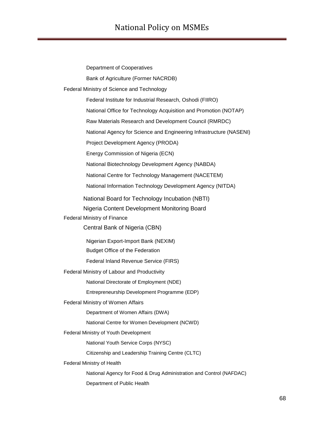| Department of Cooperatives                                          |
|---------------------------------------------------------------------|
| Bank of Agriculture (Former NACRDB)                                 |
| Federal Ministry of Science and Technology                          |
| Federal Institute for Industrial Research, Oshodi (FIIRO)           |
| National Office for Technology Acquisition and Promotion (NOTAP)    |
| Raw Materials Research and Development Council (RMRDC)              |
| National Agency for Science and Engineering Infrastructure (NASENI) |
| Project Development Agency (PRODA)                                  |
| Energy Commission of Nigeria (ECN)                                  |
| National Biotechnology Development Agency (NABDA)                   |
| National Centre for Technology Management (NACETEM)                 |
| National Information Technology Development Agency (NITDA)          |
| National Board for Technology Incubation (NBTI)                     |
| Nigeria Content Development Monitoring Board                        |
| Federal Ministry of Finance                                         |
|                                                                     |
| Central Bank of Nigeria (CBN)                                       |
| Nigerian Export-Import Bank (NEXIM)                                 |
| <b>Budget Office of the Federation</b>                              |
| Federal Inland Revenue Service (FIRS)                               |
| Federal Ministry of Labour and Productivity                         |
| National Directorate of Employment (NDE)                            |
| Entrepreneurship Development Programme (EDP)                        |
| Federal Ministry of Women Affairs                                   |
| Department of Women Affairs (DWA)                                   |
| National Centre for Women Development (NCWD)                        |
| Federal Ministry of Youth Development                               |
| National Youth Service Corps (NYSC)                                 |
| Citizenship and Leadership Training Centre (CLTC)                   |
| Federal Ministry of Health                                          |
| National Agency for Food & Drug Administration and Control (NAFDAC) |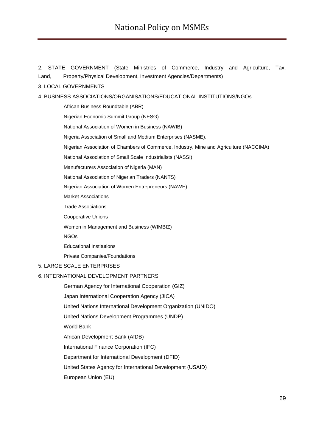2. STATE GOVERNMENT (State Ministries of Commerce, Industry and Agriculture, Tax, Land, Property/Physical Development, Investment Agencies/Departments)

#### 3. LOCAL GOVERNMENTS

#### 4. BUSINESS ASSOCIATIONS/ORGANISATIONS/EDUCATIONAL INSTITUTIONS/NGOs

African Business Roundtable (ABR)

Nigerian Economic Summit Group (NESG)

National Association of Women in Business (NAWIB)

Nigeria Association of Small and Medium Enterprises (NASME).

Nigerian Association of Chambers of Commerce, Industry, Mine and Agriculture (NACCIMA)

National Association of Small Scale Industrialists (NASSI)

Manufacturers Association of Nigeria (MAN)

National Association of Nigerian Traders (NANTS)

Nigerian Association of Women Entrepreneurs (NAWE)

Market Associations

Trade Associations

Cooperative Unions

Women in Management and Business (WIMBIZ)

NGOs

Educational Institutions

Private Companies/Foundations

#### 5. LARGE SCALE ENTERPRISES

#### 6. INTERNATIONAL DEVELOPMENT PARTNERS

German Agency for International Cooperation (GIZ)

Japan International Cooperation Agency (JICA)

United Nations International Development Organization (UNIDO)

United Nations Development Programmes (UNDP)

World Bank

African Development Bank (AfDB)

International Finance Corporation (IFC)

Department for International Development (DFID)

United States Agency for International Development (USAID)

European Union (EU)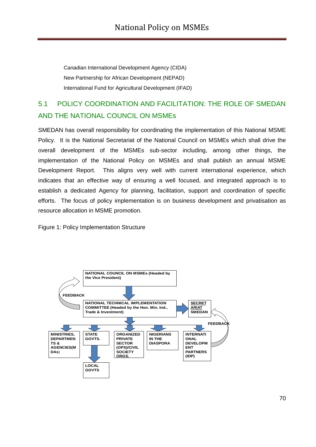Canadian International Development Agency (CIDA) New Partnership for African Development (NEPAD) International Fund for Agricultural Development (IFAD)

# 5.1 POLICY COORDINATION AND FACILITATION: THE ROLE OF SMEDAN AND THE NATIONAL COUNCIL ON MSMEs

SMEDAN has overall responsibility for coordinating the implementation of this National MSME Policy. It is the National Secretariat of the National Council on MSMEs which shall drive the overall development of the MSMEs sub-sector including, among other things, the implementation of the National Policy on MSMEs and shall publish an annual MSME Development Report. This aligns very well with current international experience, which indicates that an effective way of ensuring a well focused, and integrated approach is to establish a dedicated Agency for planning, facilitation, support and coordination of specific efforts. The focus of policy implementation is on business development and privatisation as resource allocation in MSME promotion.

Figure 1: Policy Implementation Structure

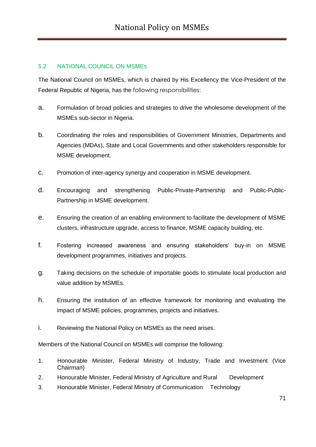### 5.2 NATIONAL COUNCIL ON MSMEs

The National Council on MSMEs, which is chaired by His Excellency the Vice-President of the Federal Republic of Nigeria, has the following responsibilities:

- a. Formulation of broad policies and strategies to drive the wholesome development of the MSMEs sub-sector in Nigeria.
- b. Coordinating the roles and responsibilities of Government Ministries, Departments and Agencies (MDAs), State and Local Governments and other stakeholders responsible for MSME development.
- c. Promotion of inter-agency synergy and cooperation in MSME development.
- d. Encouraging and strengthening Public-Private-Partnership and Public-Public-Partnership in MSME development.
- e. Ensuring the creation of an enabling environment to facilitate the development of MSME clusters, infrastructure upgrade, access to finance, MSME capacity building, etc.
- f. Fostering increased awareness and ensuring stakeholders" buy-in on MSME development programmes, initiatives and projects.
- g. Taking decisions on the schedule of importable goods to stimulate local production and value addition by MSMEs.
- h. Ensuring the institution of an effective framework for monitoring and evaluating the impact of MSME policies, programmes, projects and initiatives.
- i. Reviewing the National Policy on MSMEs as the need arises.

Members of the National Council on MSMEs will comprise the following:

- 1. Honourable Minister, Federal Ministry of Industry, Trade and Investment (Vice Chairman)
- 2. Honourable Minister, Federal Ministry of Agriculture and Rural Development
- 3. Honourable Minister, Federal Ministry of Communication Technology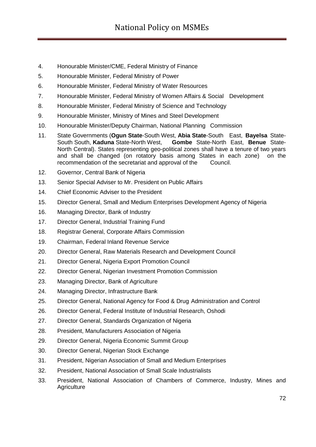- 4. Honourable Minister/CME, Federal Ministry of Finance
- 5. Honourable Minister, Federal Ministry of Power
- 6. Honourable Minister, Federal Ministry of Water Resources
- 7. Honourable Minister, Federal Ministry of Women Affairs & Social Development
- 8. Honourable Minister, Federal Ministry of Science and Technology
- 9. Honourable Minister, Ministry of Mines and Steel Development
- 10. Honourable Minister/Deputy Chairman, National Planning Commission
- 11. State Governments (**Ogun State**-South West, **Abia State**-South East, **Bayelsa** State-South South, **Kaduna** State-North West, **Gombe** State-North East, **Benue** State-North Central). States representing geo-political zones shall have a tenure of two years and shall be changed (on rotatory basis among States in each zone) on the recommendation of the secretariat and approval of the Council.
- 12. Governor, Central Bank of Nigeria
- 13. Senior Special Adviser to Mr. President on Public Affairs
- 14. Chief Economic Adviser to the President
- 15. Director General, Small and Medium Enterprises Development Agency of Nigeria
- 16. Managing Director, Bank of Industry
- 17. Director General, Industrial Training Fund
- 18. Registrar General, Corporate Affairs Commission
- 19. Chairman, Federal Inland Revenue Service
- 20. Director General, Raw Materials Research and Development Council
- 21. Director General, Nigeria Export Promotion Council
- 22. Director General, Nigerian Investment Promotion Commission
- 23. Managing Director, Bank of Agriculture
- 24. Managing Director, Infrastructure Bank
- 25. Director General, National Agency for Food & Drug Administration and Control
- 26. Director General, Federal Institute of Industrial Research, Oshodi
- 27. Director General, Standards Organization of Nigeria
- 28. President, Manufacturers Association of Nigeria
- 29. Director General, Nigeria Economic Summit Group
- 30. Director General, Nigerian Stock Exchange
- 31. President, Nigerian Association of Small and Medium Enterprises
- 32. President, National Association of Small Scale Industrialists
- 33. President, National Association of Chambers of Commerce, Industry, Mines and **Agriculture**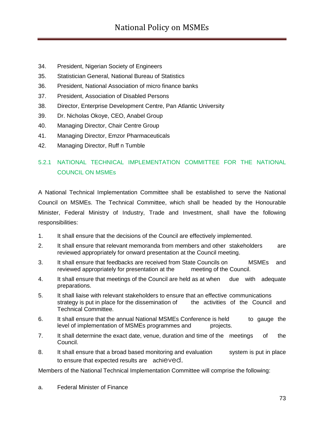- 34. President, Nigerian Society of Engineers
- 35. Statistician General, National Bureau of Statistics
- 36. President, National Association of micro finance banks
- 37. President, Association of Disabled Persons
- 38. Director, Enterprise Development Centre, Pan Atlantic University
- 39. Dr. Nicholas Okoye, CEO, Anabel Group
- 40. Managing Director, Chair Centre Group
- 41. Managing Director, Emzor Pharmaceuticals
- 42. Managing Director, Ruff n Tumble

## 5.2.1 NATIONAL TECHNICAL IMPLEMENTATION COMMITTEE FOR THE NATIONAL COUNCIL ON MSMEs

A National Technical Implementation Committee shall be established to serve the National Council on MSMEs. The Technical Committee, which shall be headed by the Honourable Minister, Federal Ministry of Industry, Trade and Investment, shall have the following responsibilities:

- 1. It shall ensure that the decisions of the Council are effectively implemented.
- 2. It shall ensure that relevant memoranda from members and other stakeholders are reviewed appropriately for onward presentation at the Council meeting.
- 3. It shall ensure that feedbacks are received from State Councils on MSMEs and reviewed appropriately for presentation at the meeting of the Council.
- 4. It shall ensure that meetings of the Council are held as at when due with adequate preparations.
- 5. It shall liaise with relevant stakeholders to ensure that an effective communications strategy is put in place for the dissemination of the activities of the Council and Technical Committee.
- 6. It shall ensure that the annual National MSMEs Conference is held to gauge the level of implementation of MSMEs programmes and projects.
- 7. It shall determine the exact date, venue, duration and time of the meetings of the Council.
- 8. It shall ensure that a broad based monitoring and evaluation system is put in place to ensure that expected results are achieved.

Members of the National Technical Implementation Committee will comprise the following:

a. Federal Minister of Finance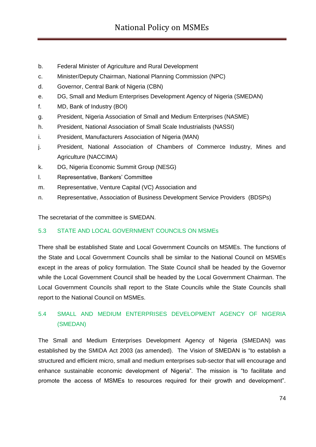- b. Federal Minister of Agriculture and Rural Development
- c. Minister/Deputy Chairman, National Planning Commission (NPC)
- d. Governor, Central Bank of Nigeria (CBN)
- e. DG, Small and Medium Enterprises Development Agency of Nigeria (SMEDAN)
- f. MD, Bank of Industry (BOI)
- g. President, Nigeria Association of Small and Medium Enterprises (NASME)
- h. President, National Association of Small Scale Industrialists (NASSI)
- i. President, Manufacturers Association of Nigeria (MAN)
- j. President, National Association of Chambers of Commerce Industry, Mines and Agriculture (NACCIMA)
- k. DG, Nigeria Economic Summit Group (NESG)
- l. Representative, Bankers" Committee
- m. Representative, Venture Capital (VC) Association and
- n. Representative, Association of Business Development Service Providers (BDSPs)

The secretariat of the committee is SMEDAN.

#### 5.3 STATE AND LOCAL GOVERNMENT COUNCILS ON MSMEs

There shall be established State and Local Government Councils on MSMEs. The functions of the State and Local Government Councils shall be similar to the National Council on MSMEs except in the areas of policy formulation. The State Council shall be headed by the Governor while the Local Government Council shall be headed by the Local Government Chairman. The Local Government Councils shall report to the State Councils while the State Councils shall report to the National Council on MSMEs.

## 5.4 SMALL AND MEDIUM ENTERPRISES DEVELOPMENT AGENCY OF NIGERIA (SMEDAN)

The Small and Medium Enterprises Development Agency of Nigeria (SMEDAN) was established by the SMIDA Act 2003 (as amended). The Vision of SMEDAN is "to establish a structured and efficient micro, small and medium enterprises sub-sector that will encourage and enhance sustainable economic development of Nigeria". The mission is "to facilitate and promote the access of MSMEs to resources required for their growth and development".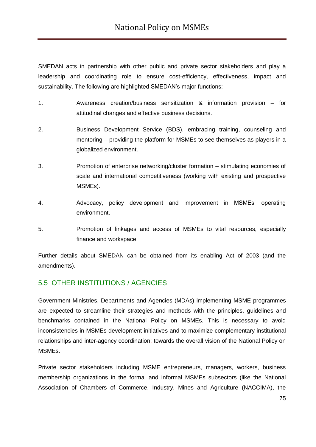SMEDAN acts in partnership with other public and private sector stakeholders and play a leadership and coordinating role to ensure cost-efficiency, effectiveness, impact and sustainability. The following are highlighted SMEDAN"s major functions:

- 1. Awareness creation/business sensitization & information provision for attitudinal changes and effective business decisions.
- 2. Business Development Service (BDS), embracing training, counseling and mentoring – providing the platform for MSMEs to see themselves as players in a globalized environment.
- 3. Promotion of enterprise networking/cluster formation stimulating economies of scale and international competitiveness (working with existing and prospective MSMEs).
- 4. Advocacy, policy development and improvement in MSMEs" operating environment.
- 5. Promotion of linkages and access of MSMEs to vital resources, especially finance and workspace

Further details about SMEDAN can be obtained from its enabling Act of 2003 (and the amendments).

### 5.5 OTHER INSTITUTIONS / AGENCIES

Government Ministries, Departments and Agencies (MDAs) implementing MSME programmes are expected to streamline their strategies and methods with the principles, guidelines and benchmarks contained in the National Policy on MSMEs. This is necessary to avoid inconsistencies in MSMEs development initiatives and to maximize complementary institutional relationships and inter-agency coordination; towards the overall vision of the National Policy on MSMEs.

Private sector stakeholders including MSME entrepreneurs, managers, workers, business membership organizations in the formal and informal MSMEs subsectors (like the National Association of Chambers of Commerce, Industry, Mines and Agriculture (NACCIMA), the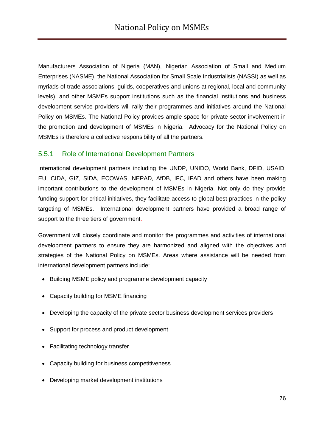Manufacturers Association of Nigeria (MAN), Nigerian Association of Small and Medium Enterprises (NASME), the National Association for Small Scale Industrialists (NASSI) as well as myriads of trade associations, guilds, cooperatives and unions at regional, local and community levels), and other MSMEs support institutions such as the financial institutions and business development service providers will rally their programmes and initiatives around the National Policy on MSMEs. The National Policy provides ample space for private sector involvement in the promotion and development of MSMEs in Nigeria. Advocacy for the National Policy on MSMEs is therefore a collective responsibility of all the partners.

#### 5.5.1 Role of International Development Partners

International development partners including the UNDP, UNIDO, World Bank, DFID, USAID, EU, CIDA, GIZ, SIDA, ECOWAS, NEPAD, AfDB, IFC, IFAD and others have been making important contributions to the development of MSMEs in Nigeria. Not only do they provide funding support for critical initiatives, they facilitate access to global best practices in the policy targeting of MSMEs. International development partners have provided a broad range of support to the three tiers of government.

Government will closely coordinate and monitor the programmes and activities of international development partners to ensure they are harmonized and aligned with the objectives and strategies of the National Policy on MSMEs. Areas where assistance will be needed from international development partners include:

- Building MSME policy and programme development capacity
- Capacity building for MSME financing
- Developing the capacity of the private sector business development services providers
- Support for process and product development
- Facilitating technology transfer
- Capacity building for business competitiveness
- Developing market development institutions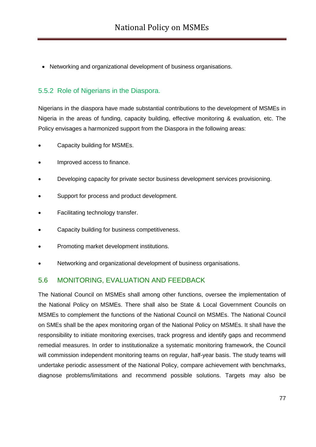Networking and organizational development of business organisations.

#### 5.5.2 Role of Nigerians in the Diaspora.

Nigerians in the diaspora have made substantial contributions to the development of MSMEs in Nigeria in the areas of funding, capacity building, effective monitoring & evaluation, etc. The Policy envisages a harmonized support from the Diaspora in the following areas:

- Capacity building for MSMEs.
- Improved access to finance.
- Developing capacity for private sector business development services provisioning.
- Support for process and product development.
- Facilitating technology transfer.
- Capacity building for business competitiveness.
- Promoting market development institutions.
- Networking and organizational development of business organisations.

#### 5.6 MONITORING, EVALUATION AND FEEDBACK

The National Council on MSMEs shall among other functions, oversee the implementation of the National Policy on MSMEs. There shall also be State & Local Government Councils on MSMEs to complement the functions of the National Council on MSMEs. The National Council on SMEs shall be the apex monitoring organ of the National Policy on MSMEs. It shall have the responsibility to initiate monitoring exercises, track progress and identify gaps and recommend remedial measures. In order to institutionalize a systematic monitoring framework, the Council will commission independent monitoring teams on regular, half-year basis. The study teams will undertake periodic assessment of the National Policy, compare achievement with benchmarks, diagnose problems/limitations and recommend possible solutions. Targets may also be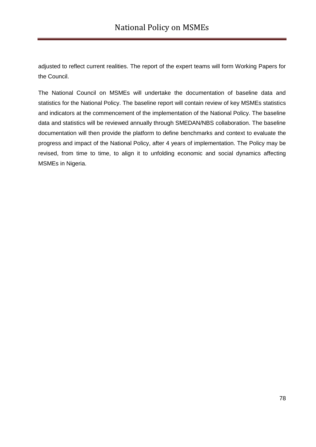adjusted to reflect current realities. The report of the expert teams will form Working Papers for the Council.

The National Council on MSMEs will undertake the documentation of baseline data and statistics for the National Policy. The baseline report will contain review of key MSMEs statistics and indicators at the commencement of the implementation of the National Policy. The baseline data and statistics will be reviewed annually through SMEDAN/NBS collaboration. The baseline documentation will then provide the platform to define benchmarks and context to evaluate the progress and impact of the National Policy, after 4 years of implementation. The Policy may be revised, from time to time, to align it to unfolding economic and social dynamics affecting MSMEs in Nigeria.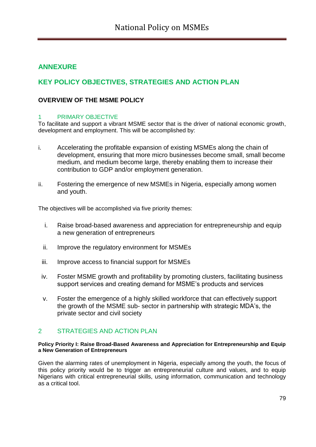## **ANNEXURE**

## **KEY POLICY OBJECTIVES, STRATEGIES AND ACTION PLAN**

#### **OVERVIEW OF THE MSME POLICY**

#### 1 PRIMARY OBJECTIVE

To facilitate and support a vibrant MSME sector that is the driver of national economic growth, development and employment. This will be accomplished by:

- i. Accelerating the profitable expansion of existing MSMEs along the chain of development, ensuring that more micro businesses become small, small become medium, and medium become large, thereby enabling them to increase their contribution to GDP and/or employment generation.
- ii. Fostering the emergence of new MSMEs in Nigeria, especially among women and youth.

The objectives will be accomplished via five priority themes:

- i. Raise broad-based awareness and appreciation for entrepreneurship and equip a new generation of entrepreneurs
- ii. Improve the regulatory environment for MSMEs
- iii. Improve access to financial support for MSMEs
- iv. Foster MSME growth and profitability by promoting clusters, facilitating business support services and creating demand for MSME"s products and services
- v. Foster the emergence of a highly skilled workforce that can effectively support the growth of the MSME sub- sector in partnership with strategic MDA"s, the private sector and civil society

#### 2 STRATEGIES AND ACTION PLAN

#### **Policy Priority I: Raise Broad-Based Awareness and Appreciation for Entrepreneurship and Equip a New Generation of Entrepreneurs**

Given the alarming rates of unemployment in Nigeria, especially among the youth, the focus of this policy priority would be to trigger an entrepreneurial culture and values, and to equip Nigerians with critical entrepreneurial skills, using information, communication and technology as a critical tool.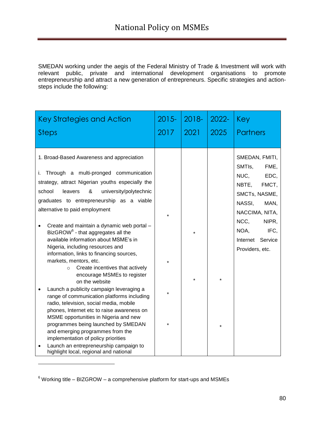SMEDAN working under the aegis of the Federal Ministry of Trade & Investment will work with relevant public, private and international development organisations to promote entrepreneurship and attract a new generation of entrepreneurs. Specific strategies and actionsteps include the following:

| <b>Key Strategies and Action</b><br>Steps                                                                                                                                                                                                                                                                                                                                                                                                                                                                                                                                                                                                                                                                                                                                                                                                                                                                                                                                       | $2015 -$<br>2017   | 2018-<br>2021      | $2022 -$<br>2025   | Key<br><b>Partners</b>                                                                                                                                                                                       |
|---------------------------------------------------------------------------------------------------------------------------------------------------------------------------------------------------------------------------------------------------------------------------------------------------------------------------------------------------------------------------------------------------------------------------------------------------------------------------------------------------------------------------------------------------------------------------------------------------------------------------------------------------------------------------------------------------------------------------------------------------------------------------------------------------------------------------------------------------------------------------------------------------------------------------------------------------------------------------------|--------------------|--------------------|--------------------|--------------------------------------------------------------------------------------------------------------------------------------------------------------------------------------------------------------|
| 1. Broad-Based Awareness and appreciation<br>Through a multi-pronged communication<br>i.<br>strategy, attract Nigerian youths especially the<br>school<br>&<br>university/polytechnic<br>leavers<br>graduates to entrepreneurship as a viable<br>alternative to paid employment<br>Create and maintain a dynamic web portal -<br>BizGROW <sup>6</sup> - that aggregates all the<br>available information about MSME's in<br>Nigeria, including resources and<br>information, links to financing sources,<br>markets, mentors, etc.<br>Create incentives that actively<br>$\circ$<br>encourage MSMEs to register<br>on the website<br>Launch a publicity campaign leveraging a<br>range of communication platforms including<br>radio, television, social media, mobile<br>phones, Internet etc to raise awareness on<br>MSME opportunities in Nigeria and new<br>programmes being launched by SMEDAN<br>and emerging programmes from the<br>implementation of policy priorities | $\star$<br>$\star$ | $\star$<br>$\star$ | $\star$<br>$\star$ | SMEDAN, FMITI,<br>SMTI <sub>s</sub> ,<br>FME,<br>NUC.<br>EDC,<br>NBTE,<br>FMCT,<br>SMCTs, NASME,<br>NASSI,<br>MAN,<br>NACCIMA, NITA,<br>NCC.<br>NIPR,<br>NOA,<br>IFC,<br>Internet Service<br>Providers, etc. |
| Launch an entrepreneurship campaign to<br>highlight local, regional and national                                                                                                                                                                                                                                                                                                                                                                                                                                                                                                                                                                                                                                                                                                                                                                                                                                                                                                |                    |                    |                    |                                                                                                                                                                                                              |

 $6$  Working title – BIZGROW – a comprehensive platform for start-ups and MSMEs

-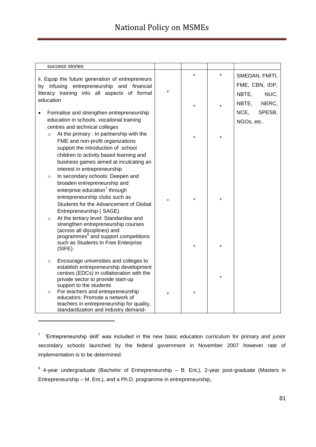| success stories                                                                                                                                                                                                                                    |         |         |         |                                                                     |
|----------------------------------------------------------------------------------------------------------------------------------------------------------------------------------------------------------------------------------------------------|---------|---------|---------|---------------------------------------------------------------------|
| ii. Equip the future generation of entrepreneurs<br>by infusing entrepreneurship and financial<br>literacy training into all aspects of formal<br>education                                                                                        | $\star$ | $\star$ |         | SMEDAN, FMITI,<br>FME, CBN, IDP,<br>NBTE,<br>NUC,<br>NBTE,<br>NERC, |
| Formalise and strengthen entrepreneurship                                                                                                                                                                                                          |         |         |         | NCE,<br>SPESB,                                                      |
| education in schools, vocational training<br>centres and technical colleges                                                                                                                                                                        |         |         |         | NGOs, etc.                                                          |
| At the primary : In partnership with the<br>$\circ$<br>FME and non-profit organizations<br>support the introduction of school<br>children to activity based learning and<br>business games aimed at inculcating an<br>interest in entrepreneurship |         |         |         |                                                                     |
| In secondary schools: Deepen and<br>$\circ$<br>broaden entrepreneurship and<br>enterprise education <sup>7</sup> through<br>entrepreneurship clubs such as<br>Students for the Advancement of Global<br>Entrepreneurship (SAGE).                   | $\star$ | $\star$ | $\star$ |                                                                     |
| At the tertiary level: Standardise and<br>$\circ$<br>strengthen entrepreneurship courses<br>(across all disciplines) and<br>programmes <sup>8</sup> and support competitions<br>such as Students In Free Enterprise<br>$(SIFE)$ .                  |         | $\star$ | $\star$ |                                                                     |
| Encourage universities and colleges to<br>$\circ$<br>establish entrepreneurship development<br>centres (EDCs) in collaboration with the<br>private sector to provide start-up<br>support to the students                                           |         |         | $\star$ |                                                                     |
| For teachers and entrepreneurship<br>$\circ$<br>educators: Promote a network of<br>teachers in entrepreneurship for quality,<br>standardization and industry demand-                                                                               |         | *       |         |                                                                     |

<sup>7</sup> 'Entrepreneurship skill' was included in the new basic education curriculum for primary and junior secondary schools launched by the federal government in November 2007 however rate of implementation is to be determined.

-

 $8$  4-year undergraduate (Bachelor of Entrepreneurship  $-$  B. Ent.), 2-year post-graduate (Masters in Entrepreneurship – M. Ent.), and a Ph.D. programme in entrepreneurship,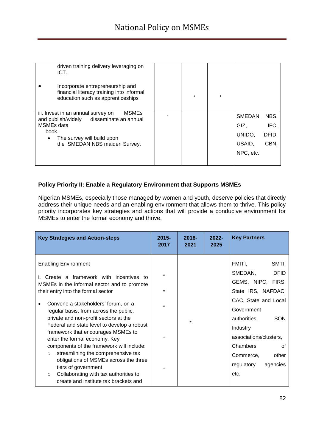| driven training delivery leveraging on<br>ICT.<br>Incorporate entrepreneurship and<br>financial literacy training into informal<br>education such as apprenticeships                                             |         | $\star$ | $\star$ |                                                  |                               |
|------------------------------------------------------------------------------------------------------------------------------------------------------------------------------------------------------------------|---------|---------|---------|--------------------------------------------------|-------------------------------|
| <b>MSMEs</b><br>iii. Invest in an annual survey on<br>disseminate an annual<br>and publish/widely<br>MSME <sub>s</sub> data<br>book.<br>The survey will build upon<br>$\bullet$<br>the SMEDAN NBS maiden Survey. | $\star$ |         |         | SMEDAN,<br>GIZ,<br>UNIDO.<br>USAID.<br>NPC, etc. | NBS.<br>IFC,<br>DFID,<br>CBN. |

#### **Policy Priority II: Enable a Regulatory Environment that Supports MSMEs**

Nigerian MSMEs, especially those managed by women and youth, deserve policies that directly address their unique needs and an enabling environment that allows them to thrive. This policy priority incorporates key strategies and actions that will provide a conducive environment for MSMEs to enter the formal economy and thrive.

| <b>Key Strategies and Action-steps</b>                                                                                                                                                                                                                                                                                                                                                                                                                                                                                                                                                                                                                                     | $2015 -$<br>2017   | $2018 -$<br>2021 | $2022 -$<br>2025 | <b>Key Partners</b>                                                                                                                                                                                                                                                      |
|----------------------------------------------------------------------------------------------------------------------------------------------------------------------------------------------------------------------------------------------------------------------------------------------------------------------------------------------------------------------------------------------------------------------------------------------------------------------------------------------------------------------------------------------------------------------------------------------------------------------------------------------------------------------------|--------------------|------------------|------------------|--------------------------------------------------------------------------------------------------------------------------------------------------------------------------------------------------------------------------------------------------------------------------|
| <b>Enabling Environment</b><br>Create a framework with incentives to<br>i.<br>MSMEs in the informal sector and to promote<br>their entry into the formal sector<br>Convene a stakeholders' forum, on a<br>regular basis, from across the public,<br>private and non-profit sectors at the<br>Federal and state level to develop a robust<br>framework that encourages MSMEs to<br>enter the formal economy. Key<br>components of the framework will include:<br>streamlining the comprehensive tax<br>$\circ$<br>obligations of MSMEs across the three<br>tiers of government<br>Collaborating with tax authorities to<br>$\circ$<br>create and institute tax brackets and | $\star$<br>$\star$ |                  |                  | FMITI,<br>SMTI,<br>SMEDAN,<br><b>DFID</b><br>GEMS, NIPC, FIRS,<br>State IRS, NAFDAC,<br>CAC, State and Local<br>Government<br><b>SON</b><br>authorities,<br>Industry<br>associations/clusters,<br>Chambers<br>Ωf<br>other<br>Commerce,<br>regulatory<br>agencies<br>etc. |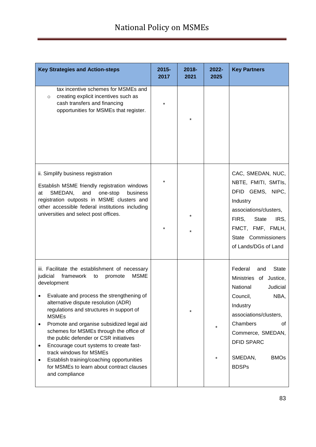| <b>Key Strategies and Action-steps</b>                                                                                                                                                                                                                                                                                                                                                                                                                                                                                                                                                                        | 2015-<br>2017 | $2018 -$<br>2021 | 2022-<br>2025      | <b>Key Partners</b>                                                                                                                                                                                                                                 |
|---------------------------------------------------------------------------------------------------------------------------------------------------------------------------------------------------------------------------------------------------------------------------------------------------------------------------------------------------------------------------------------------------------------------------------------------------------------------------------------------------------------------------------------------------------------------------------------------------------------|---------------|------------------|--------------------|-----------------------------------------------------------------------------------------------------------------------------------------------------------------------------------------------------------------------------------------------------|
| tax incentive schemes for MSMEs and<br>creating explicit incentives such as<br>$\circ$<br>cash transfers and financing<br>opportunities for MSMEs that register.                                                                                                                                                                                                                                                                                                                                                                                                                                              | $\star$       |                  |                    |                                                                                                                                                                                                                                                     |
| ii. Simplify business registration<br>Establish MSME friendly registration windows<br>SMEDAN,<br>and<br>one-stop<br>business<br>at<br>registration outposts in MSME clusters and<br>other accessible federal institutions including<br>universities and select post offices.                                                                                                                                                                                                                                                                                                                                  |               |                  |                    | CAC, SMEDAN, NUC,<br>NBTE, FMITI, SMTIs,<br>DFID GEMS, NIPC,<br>Industry<br>associations/clusters,<br>FIRS,<br><b>State</b><br>IRS,<br>FMCT, FMF, FMLH,<br>State Commissioners<br>of Lands/DGs of Land                                              |
| iii. Facilitate the establishment of necessary<br><b>MSME</b><br>judicial<br>framework<br>to<br>promote<br>development<br>Evaluate and process the strengthening of<br>alternative dispute resolution (ADR)<br>regulations and structures in support of<br><b>MSMEs</b><br>Promote and organise subsidized legal aid<br>schemes for MSMEs through the office of<br>the public defender or CSR initiatives<br>Encourage court systems to create fast-<br>$\bullet$<br>track windows for MSMEs<br>Establish training/coaching opportunities<br>٠<br>for MSMEs to learn about contract clauses<br>and compliance |               |                  | $\star$<br>$\star$ | Federal<br><b>State</b><br>and<br>Ministries of<br>Justice,<br>National<br>Judicial<br>Council,<br>NBA,<br>Industry<br>associations/clusters,<br>Chambers<br>0f<br>Commerce, SMEDAN,<br><b>DFID SPARC</b><br>SMEDAN,<br><b>BMOs</b><br><b>BDSPs</b> |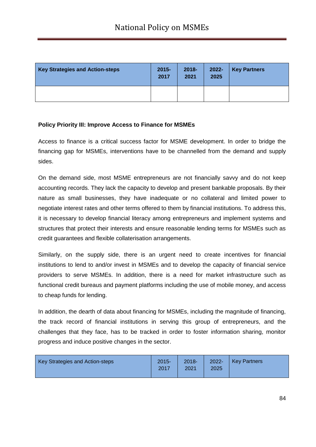| <b>Key Strategies and Action-steps</b> | $2015 -$<br>2017 | $2018 -$<br>2021 | $2022 -$<br>2025 | <b>Key Partners</b> |
|----------------------------------------|------------------|------------------|------------------|---------------------|
|                                        |                  |                  |                  |                     |

#### **Policy Priority III: Improve Access to Finance for MSMEs**

Access to finance is a critical success factor for MSME development. In order to bridge the financing gap for MSMEs, interventions have to be channelled from the demand and supply sides.

On the demand side, most MSME entrepreneurs are not financially savvy and do not keep accounting records. They lack the capacity to develop and present bankable proposals. By their nature as small businesses, they have inadequate or no collateral and limited power to negotiate interest rates and other terms offered to them by financial institutions. To address this, it is necessary to develop financial literacy among entrepreneurs and implement systems and structures that protect their interests and ensure reasonable lending terms for MSMEs such as credit guarantees and flexible collaterisation arrangements.

Similarly, on the supply side, there is an urgent need to create incentives for financial institutions to lend to and/or invest in MSMEs and to develop the capacity of financial service providers to serve MSMEs. In addition, there is a need for market infrastructure such as functional credit bureaus and payment platforms including the use of mobile money, and access to cheap funds for lending.

In addition, the dearth of data about financing for MSMEs, including the magnitude of financing, the track record of financial institutions in serving this group of entrepreneurs, and the challenges that they face, has to be tracked in order to foster information sharing, monitor progress and induce positive changes in the sector.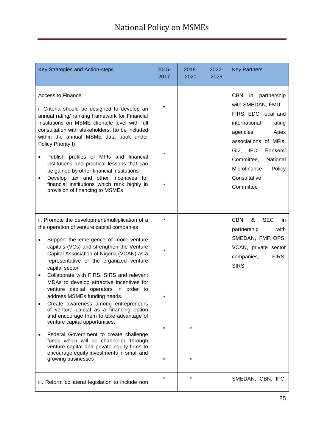| Key Strategies and Action-steps                                                                                                                                                                                                                                                                                                                                                                                                                                                                                                                                                                                                                                                                                                                                                                                                                                | $2015 -$<br>2017              | $2018 -$<br>2021 | $2022 -$<br>2025 | <b>Key Partners</b>                                                                                                                                                                                                                                               |
|----------------------------------------------------------------------------------------------------------------------------------------------------------------------------------------------------------------------------------------------------------------------------------------------------------------------------------------------------------------------------------------------------------------------------------------------------------------------------------------------------------------------------------------------------------------------------------------------------------------------------------------------------------------------------------------------------------------------------------------------------------------------------------------------------------------------------------------------------------------|-------------------------------|------------------|------------------|-------------------------------------------------------------------------------------------------------------------------------------------------------------------------------------------------------------------------------------------------------------------|
| <b>Access to Finance</b><br>i. Criteria should be designed to develop an<br>annual rating/ ranking framework for Financial<br>Institutions on MSME clientele level with full<br>consultation with stakeholders. (to be included<br>within the annual MSME data book under<br>Policy Priority I)<br>Publish profiles of MFIs and financial<br>institutions and practical lessons that can<br>be gained by other financial institutions<br>Develop tax and other incentives for<br>٠<br>financial institutions which rank highly in<br>provision of financing to MSMEs                                                                                                                                                                                                                                                                                           |                               |                  |                  | <b>CBN</b><br>in<br>partnership<br>with SMEDAN, FMITI,<br>FIRS, EDC, local and<br>international<br>rating<br>agencies,<br>Apex<br>associations of MFIs,<br>GIZ, IFC,<br>Bankers'<br>Committee,<br>National<br>Microfinance<br>Policy<br>Consultative<br>Committee |
| ii. Promote the development/multiplication of a<br>the operation of venture capital companies<br>Support the emergence of more venture<br>$\bullet$<br>capitals (VCs) and strengthen the Venture<br>Capital Association of Nigeria (VCAN) as a<br>representative of the organized venture<br>capital sector<br>Collaborate with FIRS, SIRS and relevant<br>٠<br>MDAs to develop attractive incentives for<br>venture capital operators in order to<br>address MSMEs funding needs.<br>Create awareness among entrepreneurs<br>of venture capital as a financing option<br>and encourage them to take advantage of<br>venture capital opportunities.<br>Federal Government to create challenge<br>٠<br>funds which will be channelled through<br>venture capital and private equity firms to<br>encourage equity investments in small and<br>growing businesses | $\star$<br>$\star$<br>$\star$ |                  |                  | <b>CBN</b><br><b>SEC</b><br>&<br>in.<br>with<br>partnership<br>SMEDAN, FMF, OPS,<br>VCAN, private sector<br>FIRS,<br>companies,<br><b>SIRS</b>                                                                                                                    |
| iii. Reform collateral legislation to include non                                                                                                                                                                                                                                                                                                                                                                                                                                                                                                                                                                                                                                                                                                                                                                                                              | $\star$                       | $\star$          |                  | SMEDAN, CBN, IFC,                                                                                                                                                                                                                                                 |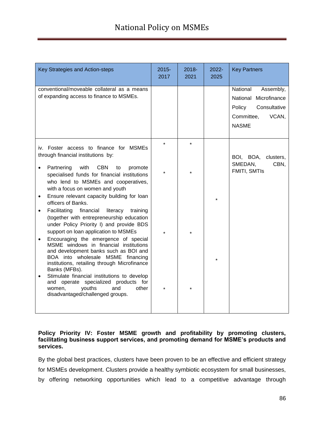| Key Strategies and Action-steps                                                                                                                                                                                          | $2015 -$<br>2017 | 2018-<br>2021 | 2022-<br>2025 | <b>Key Partners</b>                                                                                             |
|--------------------------------------------------------------------------------------------------------------------------------------------------------------------------------------------------------------------------|------------------|---------------|---------------|-----------------------------------------------------------------------------------------------------------------|
| conventional/moveable collateral as a means<br>of expanding access to finance to MSMEs.                                                                                                                                  |                  |               |               | National<br>Assembly,<br>National Microfinance<br>Policy<br>Consultative<br>Committee,<br>VCAN,<br><b>NASME</b> |
| iv. Foster access to finance for MSMEs<br>through financial institutions by:                                                                                                                                             |                  |               |               | BOI, BOA,<br>clusters,<br>SMEDAN,<br>CBN,                                                                       |
| Partnering<br>with<br><b>CBN</b><br>to<br>promote<br>specialised funds for financial institutions<br>who lend to MSMEs and cooperatives,<br>with a focus on women and youth                                              |                  |               |               | FMITI, SMTIs                                                                                                    |
| Ensure relevant capacity building for loan<br>$\bullet$<br>officers of Banks.<br>Facilitating<br>financial<br>literacy<br>training<br>$\bullet$<br>(together with entrepreneurship education                             |                  |               |               |                                                                                                                 |
| under Policy Priority I) and provide BDS<br>support on loan application to MSMEs<br>Encouraging the emergence of special<br>$\bullet$<br>MSME windows in financial institutions<br>and development banks such as BOI and |                  |               |               |                                                                                                                 |
| BOA into wholesale MSME financing<br>institutions, retailing through Microfinance<br>Banks (MFBs).<br>Stimulate financial institutions to develop<br>$\bullet$<br>and operate specialized products for                   |                  |               |               |                                                                                                                 |
| youths<br>other<br>and<br>women,<br>disadvantaged/challenged groups.                                                                                                                                                     |                  |               |               |                                                                                                                 |

#### **Policy Priority IV: Foster MSME growth and profitability by promoting clusters, facilitating business support services, and promoting demand for MSME's products and services.**

By the global best practices, clusters have been proven to be an effective and efficient strategy for MSMEs development. Clusters provide a healthy symbiotic ecosystem for small businesses, by offering networking opportunities which lead to a competitive advantage through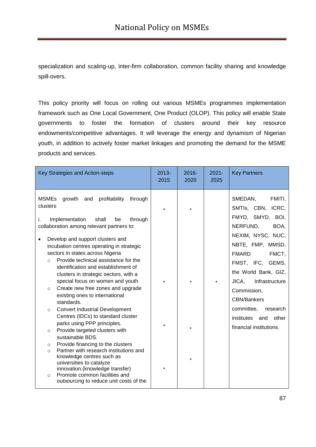specialization and scaling-up, inter-firm collaboration, common facility sharing and knowledge spill-overs.

This policy priority will focus on rolling out various MSMEs programmes implementation framework such as One Local Government, One Product (OLOP). This policy will enable State governments to foster the formation of clusters around their key resource endowments/competitive advantages. It will leverage the energy and dynamism of Nigerian youth, in addition to actively foster market linkages and promoting the demand for the MSME products and services.

|                          | Key Strategies and Action-steps                                                       | $2013 -$<br>2015 | $2016 -$<br>2020 | $2021 -$<br>2025 | <b>Key Partners</b>                                        |
|--------------------------|---------------------------------------------------------------------------------------|------------------|------------------|------------------|------------------------------------------------------------|
| <b>MSMEs</b><br>clusters | profitability<br>growth and<br>through                                                |                  |                  |                  | SMEDAN,<br>FMITI,<br>SMTIs, CBN, ICRC,<br>FMYD, SMYD, BOI, |
| i.                       | Implementation<br>shall<br>through<br>be<br>collaboration among relevant partners to: |                  |                  |                  | NERFUND,<br>BOA,                                           |
|                          |                                                                                       |                  |                  |                  | NEXIM, NYSC, NUC,                                          |
|                          | Develop and support clusters and<br>incubation centres operating in strategic         |                  |                  |                  | NBTE, FMP, MMSD,                                           |
|                          | sectors in states across Nigeria                                                      |                  |                  |                  | <b>FMARD</b><br>FMCT,                                      |
| $\circ$                  | Provide technical assistance for the                                                  |                  |                  |                  | FMST, IFC, GEMS,                                           |
|                          | identification and establishment of                                                   |                  |                  |                  | the World Bank, GIZ,                                       |
|                          | clusters in strategic sectors, with a<br>special focus on women and youth             | $\star$          |                  | $\star$          | JICA,<br>Infrastructure                                    |
| $\circ$                  | Create new free zones and upgrade                                                     |                  |                  |                  | Commission,                                                |
|                          | existing ones to international                                                        |                  |                  |                  | <b>CBN/Bankers</b>                                         |
| $\circ$                  | standards.<br><b>Convert Industrial Development</b>                                   |                  |                  |                  | committee,<br>research                                     |
|                          | Centres (IDCs) to standard cluster                                                    |                  |                  |                  | other<br>institutes<br>and                                 |
|                          | parks using PPP principles.                                                           |                  |                  |                  | financial institutions.                                    |
| $\circ$                  | Provide targeted clusters with                                                        |                  |                  |                  |                                                            |
|                          | sustainable BDS.<br>Provide financing to the clusters                                 |                  |                  |                  |                                                            |
| $\circ$<br>$\Omega$      | Partner with research institutions and                                                |                  |                  |                  |                                                            |
|                          | knowledge centres such as                                                             |                  | ÷                |                  |                                                            |
|                          | universities to catalyze<br>innovation.(knowledge transfer)                           |                  |                  |                  |                                                            |
| $\circ$                  | Promote common facilities and                                                         |                  |                  |                  |                                                            |
|                          | outsourcing to reduce unit costs of the                                               |                  |                  |                  |                                                            |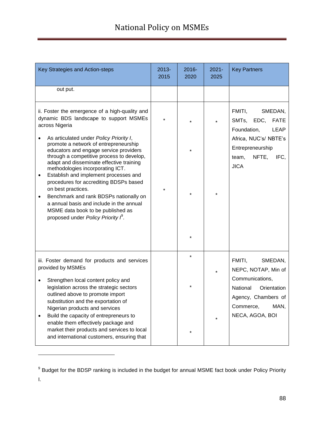# National Policy on MSMEs

| Key Strategies and Action-steps                                                                                                                                                                                                                                                                                                                                            | $2013 -$<br>2015 | $2016 -$<br>2020 | $2021 -$<br>2025 | <b>Key Partners</b>                                                                                       |
|----------------------------------------------------------------------------------------------------------------------------------------------------------------------------------------------------------------------------------------------------------------------------------------------------------------------------------------------------------------------------|------------------|------------------|------------------|-----------------------------------------------------------------------------------------------------------|
| out put.                                                                                                                                                                                                                                                                                                                                                                   |                  |                  |                  |                                                                                                           |
| ii. Foster the emergence of a high-quality and<br>dynamic BDS landscape to support MSMEs<br>across Nigeria                                                                                                                                                                                                                                                                 |                  |                  | $\star$          | FMITI,<br>SMEDAN,<br>SMTs, EDC, FATE<br>Foundation,<br>LEAP                                               |
| As articulated under Policy Priority I,<br>promote a network of entrepreneurship<br>educators and engage service providers<br>through a competitive process to develop,<br>adapt and disseminate effective training<br>methodologies incorporating ICT.<br>Establish and implement processes and<br>$\bullet$                                                              |                  |                  |                  | Africa, NUC's/ NBTE's<br>Entrepreneurship<br>NFTE, IFC,<br>team,<br><b>JICA</b>                           |
| procedures for accrediting BDSPs based<br>on best practices.<br>Benchmark and rank BDSPs nationally on<br>٠<br>a annual basis and include in the annual<br>MSME data book to be published as<br>proposed under Policy Priority $\beta$ .                                                                                                                                   |                  | $\star$          | $\star$          |                                                                                                           |
|                                                                                                                                                                                                                                                                                                                                                                            |                  |                  |                  |                                                                                                           |
| iii. Foster demand for products and services<br>provided by MSMEs                                                                                                                                                                                                                                                                                                          |                  |                  | $\star$          | FMITI,<br>SMEDAN,<br>NEPC, NOTAP, Min of                                                                  |
| Strengthen local content policy and<br>legislation across the strategic sectors<br>outlined above to promote import<br>substitution and the exportation of<br>Nigerian products and services<br>Build the capacity of entrepreneurs to<br>enable them effectively package and<br>market their products and services to local<br>and international customers, ensuring that |                  |                  | $\star$          | Communications,<br>National<br>Orientation<br>Agency, Chambers of<br>MAN,<br>Commerce,<br>NECA, AGOA, BOI |

<sup>&</sup>lt;sup>9</sup> Budget for the BDSP ranking is included in the budget for annual MSME fact book under Policy Priority I.

-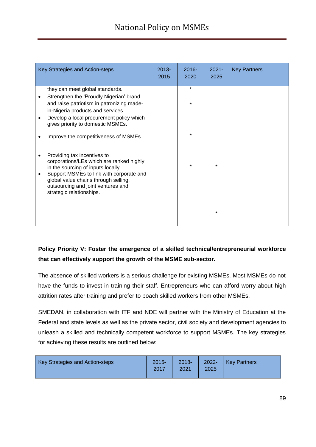| Key Strategies and Action-steps                                                                                                                                                                                                                                     | $2013 -$<br>2015 | $2016 -$<br>2020 | $2021 -$<br>2025   | <b>Key Partners</b> |
|---------------------------------------------------------------------------------------------------------------------------------------------------------------------------------------------------------------------------------------------------------------------|------------------|------------------|--------------------|---------------------|
| they can meet global standards.                                                                                                                                                                                                                                     |                  | $\star$          |                    |                     |
| Strengthen the 'Proudly Nigerian' brand<br>and raise patriotism in patronizing made-<br>in-Nigeria products and services.                                                                                                                                           |                  | $\star$          |                    |                     |
| Develop a local procurement policy which<br>gives priority to domestic MSMEs.                                                                                                                                                                                       |                  |                  |                    |                     |
| Improve the competitiveness of MSMEs.                                                                                                                                                                                                                               |                  | $\star$          |                    |                     |
| Providing tax incentives to<br>corporations/LEs which are ranked highly<br>in the sourcing of inputs locally.<br>Support MSMEs to link with corporate and<br>global value chains through selling,<br>outsourcing and joint ventures and<br>strategic relationships. |                  |                  | $\star$<br>$\star$ |                     |

## **Policy Priority V: Foster the emergence of a skilled technical/entrepreneurial workforce that can effectively support the growth of the MSME sub-sector.**

The absence of skilled workers is a serious challenge for existing MSMEs. Most MSMEs do not have the funds to invest in training their staff. Entrepreneurs who can afford worry about high attrition rates after training and prefer to poach skilled workers from other MSMEs.

SMEDAN, in collaboration with ITF and NDE will partner with the Ministry of Education at the Federal and state levels as well as the private sector, civil society and development agencies to unleash a skilled and technically competent workforce to support MSMEs. The key strategies for achieving these results are outlined below:

| Key Strategies and Action-steps | $2015 -$<br>2017 | $2018 -$<br>2021 | $2022 -$<br>2025 | Key Partners |
|---------------------------------|------------------|------------------|------------------|--------------|
|---------------------------------|------------------|------------------|------------------|--------------|